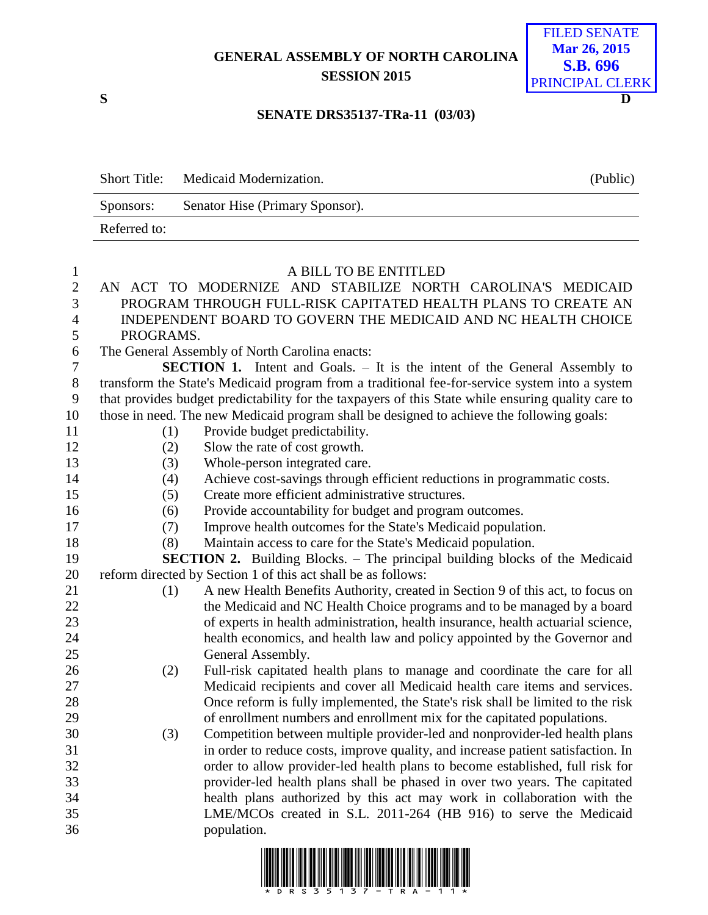## **GENERAL ASSEMBLY OF NORTH CAROLINA SESSION 2015**



## **SENATE DRS35137-TRa-11 (03/03)**

|              | Short Title: Medicaid Modernization. |  |                                                             |  |                       | (Public) |  |  |
|--------------|--------------------------------------|--|-------------------------------------------------------------|--|-----------------------|----------|--|--|
|              | Sponsors:                            |  | Senator Hise (Primary Sponsor).                             |  |                       |          |  |  |
| Referred to: |                                      |  |                                                             |  |                       |          |  |  |
|              |                                      |  |                                                             |  |                       |          |  |  |
|              |                                      |  |                                                             |  | A BILL TO BE ENTITLED |          |  |  |
|              |                                      |  | AN ACT TO MODERNIZE AND STABILIZE NORTH CAROLINA'S MEDICAID |  |                       |          |  |  |

- PROGRAM THROUGH FULL-RISK CAPITATED HEALTH PLANS TO CREATE AN INDEPENDENT BOARD TO GOVERN THE MEDICAID AND NC HEALTH CHOICE PROGRAMS.
- The General Assembly of North Carolina enacts:

 **SECTION 1.** Intent and Goals. – It is the intent of the General Assembly to transform the State's Medicaid program from a traditional fee-for-service system into a system that provides budget predictability for the taxpayers of this State while ensuring quality care to those in need. The new Medicaid program shall be designed to achieve the following goals:

- (1) Provide budget predictability.
- 
- 
- 12 (2) Slow the rate of cost growth.
- 13 (3) Whole-person integrated care.
- (4) Achieve cost-savings through efficient reductions in programmatic costs.
- (5) Create more efficient administrative structures.
- (6) Provide accountability for budget and program outcomes.
- (7) Improve health outcomes for the State's Medicaid population.
- (8) Maintain access to care for the State's Medicaid population.

 **SECTION 2.** Building Blocks. – The principal building blocks of the Medicaid reform directed by Section 1 of this act shall be as follows:

- (1) A new Health Benefits Authority, created in Section 9 of this act, to focus on 22 the Medicaid and NC Health Choice programs and to be managed by a board of experts in health administration, health insurance, health actuarial science, health economics, and health law and policy appointed by the Governor and General Assembly.
- (2) Full-risk capitated health plans to manage and coordinate the care for all Medicaid recipients and cover all Medicaid health care items and services. Once reform is fully implemented, the State's risk shall be limited to the risk of enrollment numbers and enrollment mix for the capitated populations.
- (3) Competition between multiple provider-led and nonprovider-led health plans in order to reduce costs, improve quality, and increase patient satisfaction. In order to allow provider-led health plans to become established, full risk for provider-led health plans shall be phased in over two years. The capitated health plans authorized by this act may work in collaboration with the LME/MCOs created in S.L. 2011-264 (HB 916) to serve the Medicaid population.

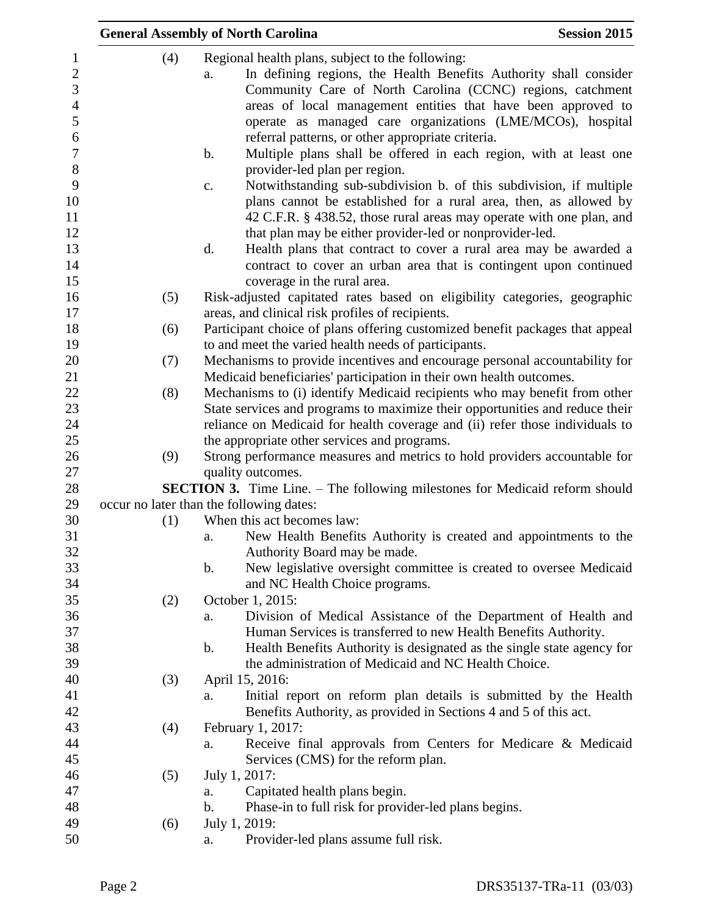|     | <b>General Assembly of North Carolina</b>                                                                                                                                                                                                                                                                                                                                                                                                                                                            | <b>Session 2015</b> |
|-----|------------------------------------------------------------------------------------------------------------------------------------------------------------------------------------------------------------------------------------------------------------------------------------------------------------------------------------------------------------------------------------------------------------------------------------------------------------------------------------------------------|---------------------|
| (4) | Regional health plans, subject to the following:<br>In defining regions, the Health Benefits Authority shall consider<br>a.<br>Community Care of North Carolina (CCNC) regions, catchment<br>areas of local management entities that have been approved to<br>operate as managed care organizations (LME/MCOs), hospital<br>referral patterns, or other appropriate criteria.<br>Multiple plans shall be offered in each region, with at least one<br>$\mathbf b$ .<br>provider-led plan per region. |                     |
|     | Notwithstanding sub-subdivision b. of this subdivision, if multiple<br>c.<br>plans cannot be established for a rural area, then, as allowed by<br>42 C.F.R. § 438.52, those rural areas may operate with one plan, and<br>that plan may be either provider-led or nonprovider-led.<br>d.<br>Health plans that contract to cover a rural area may be awarded a<br>contract to cover an urban area that is contingent upon continued                                                                   |                     |
| (5) | coverage in the rural area.<br>Risk-adjusted capitated rates based on eligibility categories, geographic                                                                                                                                                                                                                                                                                                                                                                                             |                     |
| (6) | areas, and clinical risk profiles of recipients.<br>Participant choice of plans offering customized benefit packages that appeal                                                                                                                                                                                                                                                                                                                                                                     |                     |
| (7) | to and meet the varied health needs of participants.<br>Mechanisms to provide incentives and encourage personal accountability for                                                                                                                                                                                                                                                                                                                                                                   |                     |
| (8) | Medicaid beneficiaries' participation in their own health outcomes.<br>Mechanisms to (i) identify Medicaid recipients who may benefit from other<br>State services and programs to maximize their opportunities and reduce their<br>reliance on Medicaid for health coverage and (ii) refer those individuals to<br>the appropriate other services and programs.                                                                                                                                     |                     |
| (9) | Strong performance measures and metrics to hold providers accountable for<br>quality outcomes.                                                                                                                                                                                                                                                                                                                                                                                                       |                     |
|     | <b>SECTION 3.</b> Time Line. – The following milestones for Medicaid reform should<br>occur no later than the following dates:                                                                                                                                                                                                                                                                                                                                                                       |                     |
| (1) | When this act becomes law:                                                                                                                                                                                                                                                                                                                                                                                                                                                                           |                     |
|     | New Health Benefits Authority is created and appointments to the<br>a.<br>Authority Board may be made.                                                                                                                                                                                                                                                                                                                                                                                               |                     |
|     | New legislative oversight committee is created to oversee Medicaid<br>$\mathbf b$ .<br>and NC Health Choice programs.                                                                                                                                                                                                                                                                                                                                                                                |                     |
| (2) | October 1, 2015:<br>Division of Medical Assistance of the Department of Health and<br>a.<br>Human Services is transferred to new Health Benefits Authority.<br>Health Benefits Authority is designated as the single state agency for<br>b.<br>the administration of Medicaid and NC Health Choice.                                                                                                                                                                                                  |                     |
| (3) | April 15, 2016:<br>Initial report on reform plan details is submitted by the Health<br>a.<br>Benefits Authority, as provided in Sections 4 and 5 of this act.                                                                                                                                                                                                                                                                                                                                        |                     |
| (4) | February 1, 2017:<br>Receive final approvals from Centers for Medicare & Medicaid<br>a.<br>Services (CMS) for the reform plan.                                                                                                                                                                                                                                                                                                                                                                       |                     |
| (5) | July 1, 2017:<br>Capitated health plans begin.<br>a.                                                                                                                                                                                                                                                                                                                                                                                                                                                 |                     |
| (6) | Phase-in to full risk for provider-led plans begins.<br>b.<br>July 1, 2019:<br>Provider-led plans assume full risk.<br>a.                                                                                                                                                                                                                                                                                                                                                                            |                     |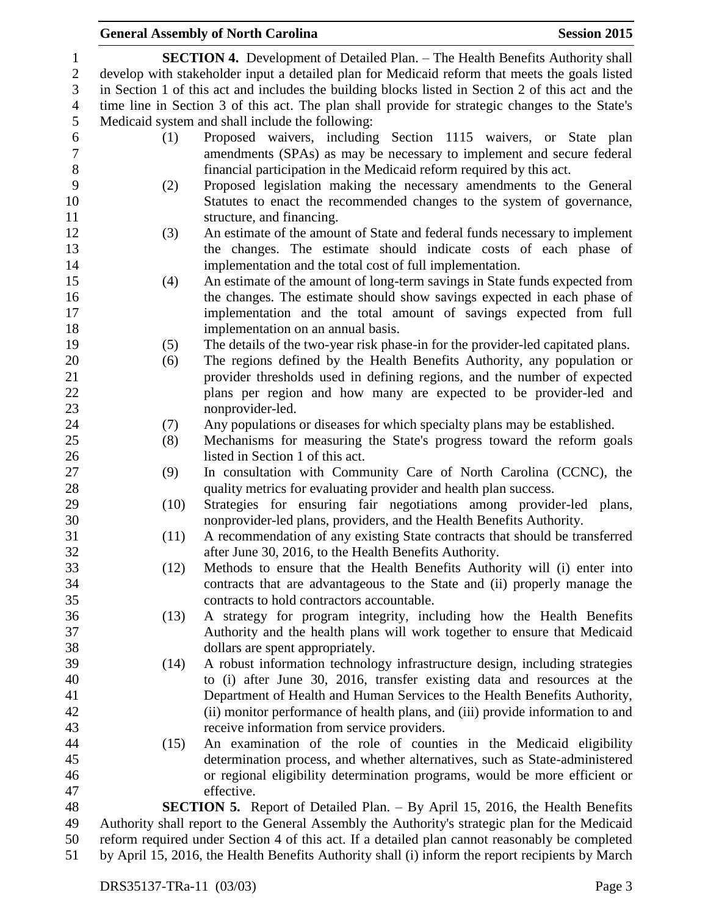### **General Assembly of North Carolina Session 2015 SECTION 4.** Development of Detailed Plan. – The Health Benefits Authority shall develop with stakeholder input a detailed plan for Medicaid reform that meets the goals listed in Section 1 of this act and includes the building blocks listed in Section 2 of this act and the time line in Section 3 of this act. The plan shall provide for strategic changes to the State's Medicaid system and shall include the following: (1) Proposed waivers, including Section 1115 waivers, or State plan amendments (SPAs) as may be necessary to implement and secure federal financial participation in the Medicaid reform required by this act. (2) Proposed legislation making the necessary amendments to the General Statutes to enact the recommended changes to the system of governance, 11 structure, and financing. (3) An estimate of the amount of State and federal funds necessary to implement the changes. The estimate should indicate costs of each phase of implementation and the total cost of full implementation. (4) An estimate of the amount of long-term savings in State funds expected from the changes. The estimate should show savings expected in each phase of implementation and the total amount of savings expected from full implementation on an annual basis. (5) The details of the two-year risk phase-in for the provider-led capitated plans. (6) The regions defined by the Health Benefits Authority, any population or provider thresholds used in defining regions, and the number of expected plans per region and how many are expected to be provider-led and nonprovider-led. (7) Any populations or diseases for which specialty plans may be established. (8) Mechanisms for measuring the State's progress toward the reform goals listed in Section 1 of this act. (9) In consultation with Community Care of North Carolina (CCNC), the 28 quality metrics for evaluating provider and health plan success. (10) Strategies for ensuring fair negotiations among provider-led plans, nonprovider-led plans, providers, and the Health Benefits Authority. (11) A recommendation of any existing State contracts that should be transferred after June 30, 2016, to the Health Benefits Authority. (12) Methods to ensure that the Health Benefits Authority will (i) enter into contracts that are advantageous to the State and (ii) properly manage the contracts to hold contractors accountable. (13) A strategy for program integrity, including how the Health Benefits Authority and the health plans will work together to ensure that Medicaid dollars are spent appropriately. (14) A robust information technology infrastructure design, including strategies to (i) after June 30, 2016, transfer existing data and resources at the Department of Health and Human Services to the Health Benefits Authority, (ii) monitor performance of health plans, and (iii) provide information to and receive information from service providers. (15) An examination of the role of counties in the Medicaid eligibility determination process, and whether alternatives, such as State-administered or regional eligibility determination programs, would be more efficient or effective. **SECTION 5.** Report of Detailed Plan. – By April 15, 2016, the Health Benefits Authority shall report to the General Assembly the Authority's strategic plan for the Medicaid reform required under Section 4 of this act. If a detailed plan cannot reasonably be completed by April 15, 2016, the Health Benefits Authority shall (i) inform the report recipients by March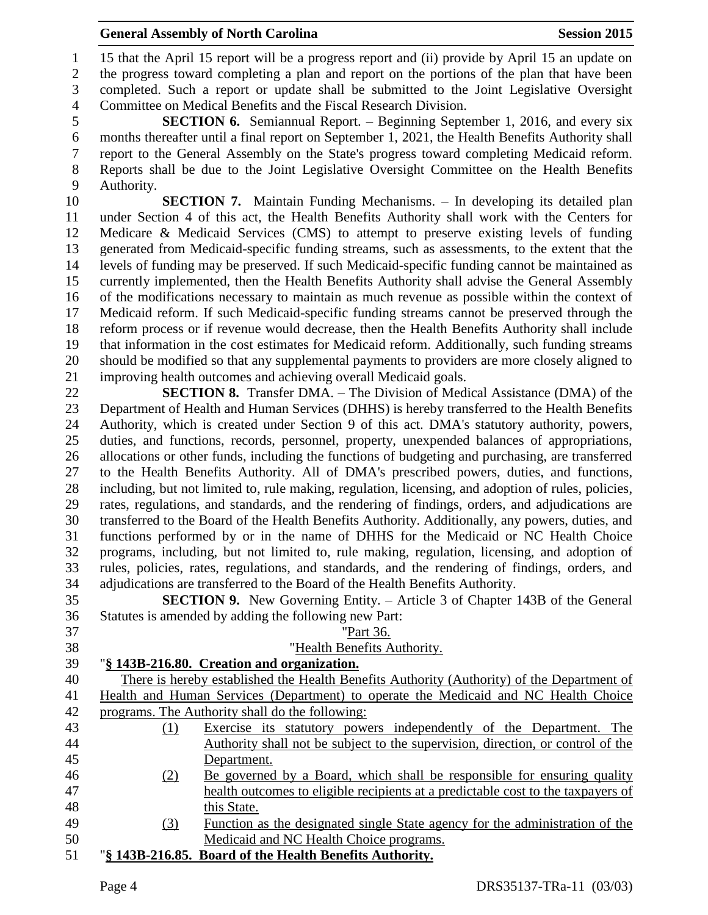#### **General Assembly of North Carolina Session 2015**

 15 that the April 15 report will be a progress report and (ii) provide by April 15 an update on the progress toward completing a plan and report on the portions of the plan that have been completed. Such a report or update shall be submitted to the Joint Legislative Oversight Committee on Medical Benefits and the Fiscal Research Division.

 **SECTION 6.** Semiannual Report. – Beginning September 1, 2016, and every six months thereafter until a final report on September 1, 2021, the Health Benefits Authority shall report to the General Assembly on the State's progress toward completing Medicaid reform. Reports shall be due to the Joint Legislative Oversight Committee on the Health Benefits Authority.

 **SECTION 7.** Maintain Funding Mechanisms. – In developing its detailed plan under Section 4 of this act, the Health Benefits Authority shall work with the Centers for Medicare & Medicaid Services (CMS) to attempt to preserve existing levels of funding generated from Medicaid-specific funding streams, such as assessments, to the extent that the levels of funding may be preserved. If such Medicaid-specific funding cannot be maintained as currently implemented, then the Health Benefits Authority shall advise the General Assembly of the modifications necessary to maintain as much revenue as possible within the context of Medicaid reform. If such Medicaid-specific funding streams cannot be preserved through the reform process or if revenue would decrease, then the Health Benefits Authority shall include that information in the cost estimates for Medicaid reform. Additionally, such funding streams should be modified so that any supplemental payments to providers are more closely aligned to improving health outcomes and achieving overall Medicaid goals.

 **SECTION 8.** Transfer DMA. – The Division of Medical Assistance (DMA) of the Department of Health and Human Services (DHHS) is hereby transferred to the Health Benefits Authority, which is created under Section 9 of this act. DMA's statutory authority, powers, duties, and functions, records, personnel, property, unexpended balances of appropriations, allocations or other funds, including the functions of budgeting and purchasing, are transferred to the Health Benefits Authority. All of DMA's prescribed powers, duties, and functions, including, but not limited to, rule making, regulation, licensing, and adoption of rules, policies, rates, regulations, and standards, and the rendering of findings, orders, and adjudications are transferred to the Board of the Health Benefits Authority. Additionally, any powers, duties, and functions performed by or in the name of DHHS for the Medicaid or NC Health Choice programs, including, but not limited to, rule making, regulation, licensing, and adoption of rules, policies, rates, regulations, and standards, and the rendering of findings, orders, and adjudications are transferred to the Board of the Health Benefits Authority.

 **SECTION 9.** New Governing Entity. – Article 3 of Chapter 143B of the General Statutes is amended by adding the following new Part:

| 37 |     | "Part 36.                                                                                  |
|----|-----|--------------------------------------------------------------------------------------------|
| 38 |     | "Health Benefits Authority.                                                                |
| 39 |     | "§ 143B-216.80. Creation and organization.                                                 |
| 40 |     | There is hereby established the Health Benefits Authority (Authority) of the Department of |
| 41 |     | Health and Human Services (Department) to operate the Medicaid and NC Health Choice        |
| 42 |     | programs. The Authority shall do the following:                                            |
| 43 | (1) | Exercise its statutory powers independently of the Department. The                         |
| 44 |     | Authority shall not be subject to the supervision, direction, or control of the            |
| 45 |     | Department.                                                                                |
| 46 | (2) | Be governed by a Board, which shall be responsible for ensuring quality                    |
| 47 |     | health outcomes to eligible recipients at a predictable cost to the taxpayers of           |
| 48 |     | this State.                                                                                |
| 49 | (3) | Function as the designated single State agency for the administration of the               |
| 50 |     | Medicaid and NC Health Choice programs.                                                    |
| 51 |     | "§ 143B-216.85. Board of the Health Benefits Authority.                                    |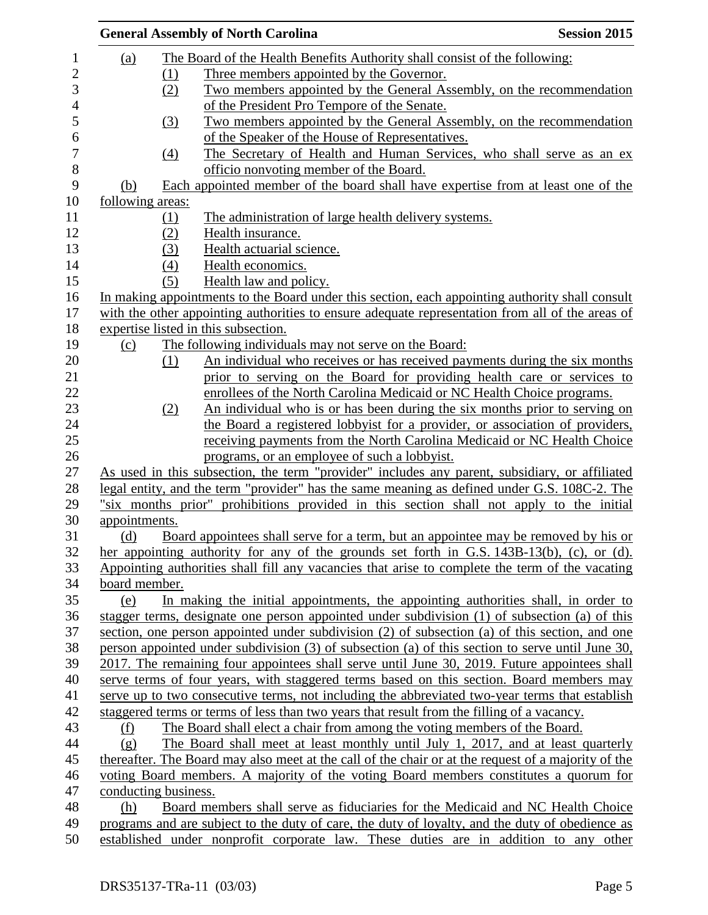|                      |                  | <b>General Assembly of North Carolina</b>                                                           | <b>Session 2015</b> |
|----------------------|------------------|-----------------------------------------------------------------------------------------------------|---------------------|
| (a)                  |                  | The Board of the Health Benefits Authority shall consist of the following:                          |                     |
|                      | $\Omega$         | Three members appointed by the Governor.                                                            |                     |
|                      | (2)              | Two members appointed by the General Assembly, on the recommendation                                |                     |
|                      |                  | of the President Pro Tempore of the Senate.                                                         |                     |
|                      | (3)              | Two members appointed by the General Assembly, on the recommendation                                |                     |
|                      |                  | of the Speaker of the House of Representatives.                                                     |                     |
|                      | $\left(4\right)$ | The Secretary of Health and Human Services, who shall serve as an ex-                               |                     |
|                      |                  | officio nonvoting member of the Board.                                                              |                     |
| (b)                  |                  | Each appointed member of the board shall have expertise from at least one of the                    |                     |
| following areas:     |                  |                                                                                                     |                     |
|                      | (1)              | The administration of large health delivery systems.                                                |                     |
|                      |                  | Health insurance.                                                                                   |                     |
|                      | (2)              |                                                                                                     |                     |
|                      | (3)              | Health actuarial science.                                                                           |                     |
|                      | (4)              | Health economics.                                                                                   |                     |
|                      | (5)              | Health law and policy.                                                                              |                     |
|                      |                  | In making appointments to the Board under this section, each appointing authority shall consult     |                     |
|                      |                  | with the other appointing authorities to ensure adequate representation from all of the areas of    |                     |
|                      |                  | expertise listed in this subsection.                                                                |                     |
| (c)                  |                  | The following individuals may not serve on the Board:                                               |                     |
|                      | (1)              | An individual who receives or has received payments during the six months                           |                     |
|                      |                  | prior to serving on the Board for providing health care or services to                              |                     |
|                      |                  | enrollees of the North Carolina Medicaid or NC Health Choice programs.                              |                     |
|                      | (2)              | An individual who is or has been during the six months prior to serving on                          |                     |
|                      |                  | the Board a registered lobbyist for a provider, or association of providers,                        |                     |
|                      |                  | receiving payments from the North Carolina Medicaid or NC Health Choice                             |                     |
|                      |                  | programs, or an employee of such a lobbyist.                                                        |                     |
|                      |                  | As used in this subsection, the term "provider" includes any parent, subsidiary, or affiliated      |                     |
|                      |                  | legal entity, and the term "provider" has the same meaning as defined under G.S. 108C-2. The        |                     |
|                      |                  | "six months prior" prohibitions provided in this section shall not apply to the initial             |                     |
| appointments.        |                  |                                                                                                     |                     |
| (d)                  |                  | Board appointees shall serve for a term, but an appointee may be removed by his or                  |                     |
|                      |                  | her appointing authority for any of the grounds set forth in G.S. $143B-13(b)$ , (c), or (d).       |                     |
|                      |                  | Appointing authorities shall fill any vacancies that arise to complete the term of the vacating     |                     |
| board member.        |                  |                                                                                                     |                     |
| (e)                  |                  | In making the initial appointments, the appointing authorities shall, in order to                   |                     |
|                      |                  | stagger terms, designate one person appointed under subdivision (1) of subsection (a) of this       |                     |
|                      |                  | section, one person appointed under subdivision (2) of subsection (a) of this section, and one      |                     |
|                      |                  | person appointed under subdivision (3) of subsection (a) of this section to serve until June 30,    |                     |
|                      |                  | 2017. The remaining four appointees shall serve until June 30, 2019. Future appointees shall        |                     |
|                      |                  | serve terms of four years, with staggered terms based on this section. Board members may            |                     |
|                      |                  | serve up to two consecutive terms, not including the abbreviated two-year terms that establish      |                     |
|                      |                  | staggered terms or terms of less than two years that result from the filling of a vacancy.          |                     |
| (f)                  |                  | The Board shall elect a chair from among the voting members of the Board.                           |                     |
| (g)                  |                  | The Board shall meet at least monthly until July 1, 2017, and at least quarterly                    |                     |
|                      |                  | thereafter. The Board may also meet at the call of the chair or at the request of a majority of the |                     |
|                      |                  | voting Board members. A majority of the voting Board members constitutes a quorum for               |                     |
| conducting business. |                  |                                                                                                     |                     |
| (h)                  |                  | Board members shall serve as fiduciaries for the Medicaid and NC Health Choice                      |                     |
|                      |                  | programs and are subject to the duty of care, the duty of loyalty, and the duty of obedience as     |                     |
|                      |                  | established under nonprofit corporate law. These duties are in addition to any other                |                     |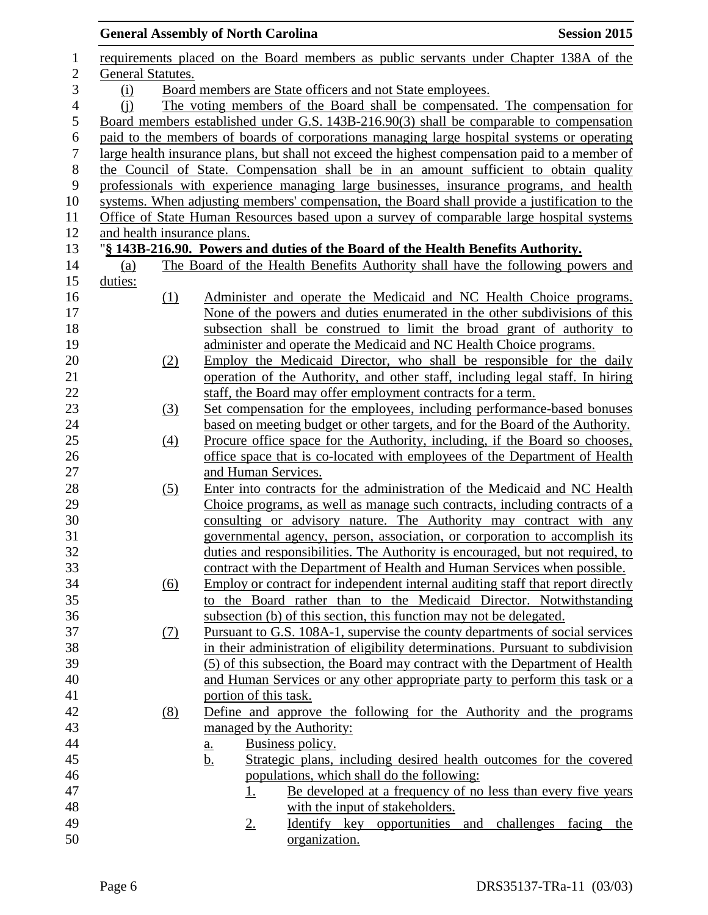|                  |                                                                  |                   | <b>General Assembly of North Carolina</b>                                                       | <b>Session 2015</b> |  |  |
|------------------|------------------------------------------------------------------|-------------------|-------------------------------------------------------------------------------------------------|---------------------|--|--|
| $\mathbf{1}$     |                                                                  |                   | requirements placed on the Board members as public servants under Chapter 138A of the           |                     |  |  |
| $\mathbf{2}$     | General Statutes.                                                |                   |                                                                                                 |                     |  |  |
| 3                | Board members are State officers and not State employees.<br>(i) |                   |                                                                                                 |                     |  |  |
| $\overline{4}$   | (i)                                                              |                   | The voting members of the Board shall be compensated. The compensation for                      |                     |  |  |
| 5                |                                                                  |                   | Board members established under G.S. 143B-216.90(3) shall be comparable to compensation         |                     |  |  |
| 6                |                                                                  |                   | paid to the members of boards of corporations managing large hospital systems or operating      |                     |  |  |
| $\boldsymbol{7}$ |                                                                  |                   | large health insurance plans, but shall not exceed the highest compensation paid to a member of |                     |  |  |
| $8\,$            |                                                                  |                   | the Council of State. Compensation shall be in an amount sufficient to obtain quality           |                     |  |  |
| 9                |                                                                  |                   | professionals with experience managing large businesses, insurance programs, and health         |                     |  |  |
| 10               |                                                                  |                   | systems. When adjusting members' compensation, the Board shall provide a justification to the   |                     |  |  |
| 11               |                                                                  |                   | Office of State Human Resources based upon a survey of comparable large hospital systems        |                     |  |  |
| 12               |                                                                  |                   | and health insurance plans.                                                                     |                     |  |  |
| 13               |                                                                  |                   | "§ 143B-216.90. Powers and duties of the Board of the Health Benefits Authority.                |                     |  |  |
| 14               | (a)                                                              |                   | The Board of the Health Benefits Authority shall have the following powers and                  |                     |  |  |
| 15               | duties:                                                          |                   |                                                                                                 |                     |  |  |
| 16               |                                                                  | (1)               | Administer and operate the Medicaid and NC Health Choice programs.                              |                     |  |  |
| 17               |                                                                  |                   | None of the powers and duties enumerated in the other subdivisions of this                      |                     |  |  |
| 18               |                                                                  |                   | subsection shall be construed to limit the broad grant of authority to                          |                     |  |  |
| 19               |                                                                  |                   | administer and operate the Medicaid and NC Health Choice programs.                              |                     |  |  |
| 20               |                                                                  | (2)               | Employ the Medicaid Director, who shall be responsible for the daily                            |                     |  |  |
| 21               |                                                                  |                   | operation of the Authority, and other staff, including legal staff. In hiring                   |                     |  |  |
| 22               |                                                                  |                   | staff, the Board may offer employment contracts for a term.                                     |                     |  |  |
| 23               |                                                                  | (3)               | Set compensation for the employees, including performance-based bonuses                         |                     |  |  |
| 24               |                                                                  |                   | based on meeting budget or other targets, and for the Board of the Authority.                   |                     |  |  |
| 25               |                                                                  | (4)               | Procure office space for the Authority, including, if the Board so chooses,                     |                     |  |  |
| 26               |                                                                  |                   | office space that is co-located with employees of the Department of Health                      |                     |  |  |
| 27               |                                                                  |                   | and Human Services.                                                                             |                     |  |  |
| 28               |                                                                  | (5)               | Enter into contracts for the administration of the Medicaid and NC Health                       |                     |  |  |
| 29               |                                                                  |                   | Choice programs, as well as manage such contracts, including contracts of a                     |                     |  |  |
| $30\,$           |                                                                  |                   | consulting or advisory nature. The Authority may contract with any                              |                     |  |  |
| 31               |                                                                  |                   | governmental agency, person, association, or corporation to accomplish its                      |                     |  |  |
| 32               |                                                                  |                   | duties and responsibilities. The Authority is encouraged, but not required, to                  |                     |  |  |
| 33               |                                                                  |                   | contract with the Department of Health and Human Services when possible.                        |                     |  |  |
| 34               |                                                                  | $\underline{(6)}$ | Employ or contract for independent internal auditing staff that report directly                 |                     |  |  |
| 35               |                                                                  |                   | the Board rather than to the Medicaid Director. Notwithstanding<br>to                           |                     |  |  |
| 36               |                                                                  |                   | subsection (b) of this section, this function may not be delegated.                             |                     |  |  |
| 37               |                                                                  | <u>(7)</u>        | Pursuant to G.S. 108A-1, supervise the county departments of social services                    |                     |  |  |
| 38               |                                                                  |                   | in their administration of eligibility determinations. Pursuant to subdivision                  |                     |  |  |
| 39               |                                                                  |                   | (5) of this subsection, the Board may contract with the Department of Health                    |                     |  |  |
| 40               |                                                                  |                   | and Human Services or any other appropriate party to perform this task or a                     |                     |  |  |
| 41               |                                                                  |                   | portion of this task.                                                                           |                     |  |  |
| 42               |                                                                  | (8)               | Define and approve the following for the Authority and the programs                             |                     |  |  |
| 43               |                                                                  |                   | managed by the Authority:                                                                       |                     |  |  |
| 44               |                                                                  |                   | Business policy.<br>a.                                                                          |                     |  |  |
| 45               |                                                                  |                   | Strategic plans, including desired health outcomes for the covered<br><u>b.</u>                 |                     |  |  |
| 46               |                                                                  |                   | populations, which shall do the following:                                                      |                     |  |  |
| 47               |                                                                  |                   | Be developed at a frequency of no less than every five years<br><u>1.</u>                       |                     |  |  |
| 48               |                                                                  |                   | with the input of stakeholders.                                                                 |                     |  |  |
| 49               |                                                                  |                   | Identify key opportunities and challenges<br>$2_{\cdot}$                                        | facing<br>the       |  |  |
| 50               |                                                                  |                   | organization.                                                                                   |                     |  |  |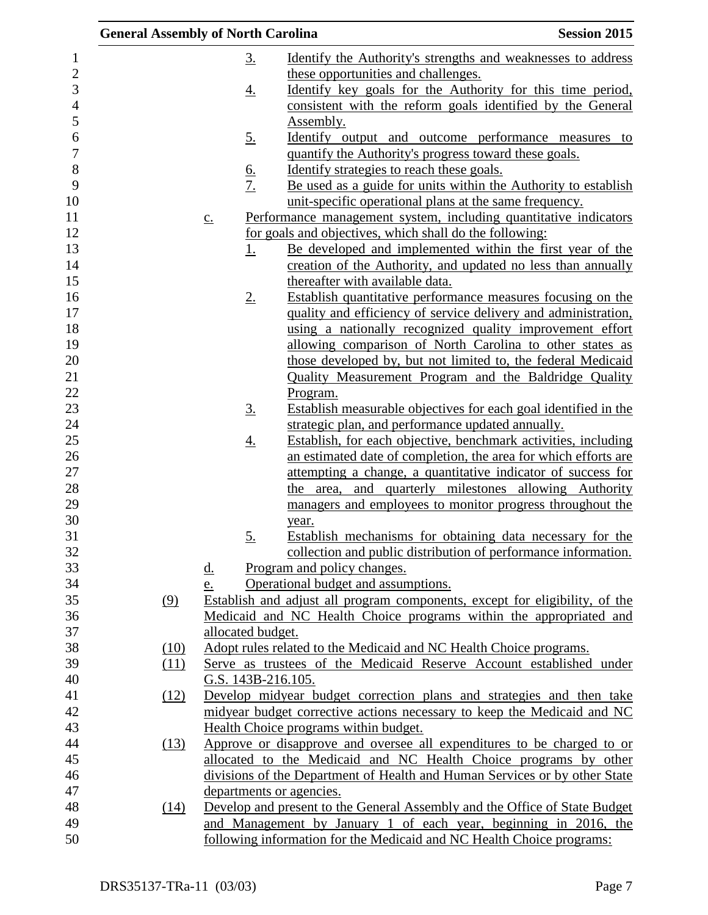| <b>General Assembly of North Carolina</b> |                   |                    |                                                                                                                                 | <b>Session 2015</b> |
|-------------------------------------------|-------------------|--------------------|---------------------------------------------------------------------------------------------------------------------------------|---------------------|
|                                           |                   | <u>3.</u>          | <u>Identify the Authority's strengths and weaknesses to address</u>                                                             |                     |
|                                           |                   |                    | these opportunities and challenges.                                                                                             |                     |
|                                           |                   | <u>4.</u>          | Identify key goals for the Authority for this time period,                                                                      |                     |
|                                           |                   |                    | consistent with the reform goals identified by the General                                                                      |                     |
|                                           |                   |                    | Assembly.                                                                                                                       |                     |
|                                           |                   | <u>5.</u>          | <u>Identify</u> output and outcome performance measures to                                                                      |                     |
|                                           |                   |                    | quantify the Authority's progress toward these goals.                                                                           |                     |
|                                           |                   |                    | Identify strategies to reach these goals.                                                                                       |                     |
|                                           |                   | $rac{6}{7}$        | Be used as a guide for units within the Authority to establish                                                                  |                     |
|                                           |                   |                    | unit-specific operational plans at the same frequency.                                                                          |                     |
|                                           | $\underline{c}$ . |                    | Performance management system, including quantitative indicators                                                                |                     |
|                                           |                   |                    | for goals and objectives, which shall do the following:                                                                         |                     |
|                                           |                   | <u>1.</u>          | <u>Be developed and implemented within the first year of the</u>                                                                |                     |
|                                           |                   |                    | creation of the Authority, and updated no less than annually                                                                    |                     |
|                                           |                   |                    | thereafter with available data.                                                                                                 |                     |
|                                           |                   | $2_{\cdot}$        | Establish quantitative performance measures focusing on the                                                                     |                     |
|                                           |                   |                    | quality and efficiency of service delivery and administration,                                                                  |                     |
|                                           |                   |                    | using a nationally recognized quality improvement effort                                                                        |                     |
|                                           |                   |                    | allowing comparison of North Carolina to other states as                                                                        |                     |
|                                           |                   |                    | those developed by, but not limited to, the federal Medicaid                                                                    |                     |
|                                           |                   |                    | Quality Measurement Program and the Baldridge Quality                                                                           |                     |
|                                           |                   |                    | Program.                                                                                                                        |                     |
|                                           |                   | $\underline{3}$ .  | Establish measurable objectives for each goal identified in the                                                                 |                     |
|                                           |                   |                    | strategic plan, and performance updated annually.                                                                               |                     |
|                                           |                   | <u>4.</u>          | Establish, for each objective, benchmark activities, including                                                                  |                     |
|                                           |                   |                    | an estimated date of completion, the area for which efforts are<br>attempting a change, a quantitative indicator of success for |                     |
|                                           |                   |                    | the area, and quarterly milestones allowing Authority                                                                           |                     |
|                                           |                   |                    | managers and employees to monitor progress throughout the                                                                       |                     |
|                                           |                   |                    | year.                                                                                                                           |                     |
|                                           |                   | 5.                 | Establish mechanisms for obtaining data necessary for the                                                                       |                     |
|                                           |                   |                    | collection and public distribution of performance information.                                                                  |                     |
|                                           | <u>d.</u>         |                    | Program and policy changes.                                                                                                     |                     |
|                                           | e.                |                    | Operational budget and assumptions.                                                                                             |                     |
| (9)                                       |                   |                    | Establish and adjust all program components, except for eligibility, of the                                                     |                     |
|                                           |                   |                    | Medicaid and NC Health Choice programs within the appropriated and                                                              |                     |
|                                           |                   | allocated budget.  |                                                                                                                                 |                     |
| (10)                                      |                   |                    | Adopt rules related to the Medicaid and NC Health Choice programs.                                                              |                     |
| (11)                                      |                   |                    | Serve as trustees of the Medicaid Reserve Account established under                                                             |                     |
|                                           |                   | G.S. 143B-216.105. |                                                                                                                                 |                     |
| (12)                                      |                   |                    | Develop midyear budget correction plans and strategies and then take                                                            |                     |
|                                           |                   |                    | midyear budget corrective actions necessary to keep the Medicaid and NC                                                         |                     |
|                                           |                   |                    | Health Choice programs within budget.                                                                                           |                     |
| (13)                                      |                   |                    | Approve or disapprove and oversee all expenditures to be charged to or                                                          |                     |
|                                           |                   |                    | allocated to the Medicaid and NC Health Choice programs by other                                                                |                     |
|                                           |                   |                    | divisions of the Department of Health and Human Services or by other State                                                      |                     |
|                                           |                   |                    | departments or agencies.                                                                                                        |                     |
| (14)                                      |                   |                    | Develop and present to the General Assembly and the Office of State Budget                                                      |                     |
|                                           |                   |                    | and Management by January 1 of each year, beginning in 2016, the                                                                |                     |
|                                           |                   |                    | following information for the Medicaid and NC Health Choice programs:                                                           |                     |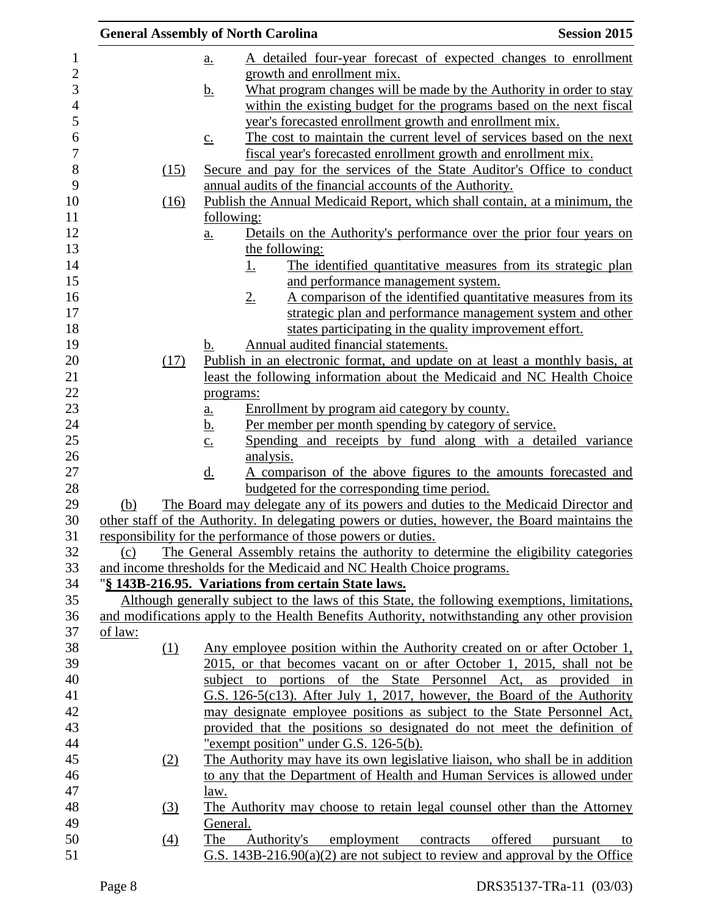| <b>General Assembly of North Carolina</b> |                   |                |                                                                       |           | <b>Session 2015</b>                                                                                                                                    |
|-------------------------------------------|-------------------|----------------|-----------------------------------------------------------------------|-----------|--------------------------------------------------------------------------------------------------------------------------------------------------------|
|                                           | <u>a.</u>         |                |                                                                       |           | A detailed four-year forecast of expected changes to enrollment                                                                                        |
|                                           |                   |                | growth and enrollment mix.                                            |           |                                                                                                                                                        |
|                                           | <u>b.</u>         |                |                                                                       |           | What program changes will be made by the Authority in order to stay                                                                                    |
|                                           |                   |                |                                                                       |           | within the existing budget for the programs based on the next fiscal                                                                                   |
|                                           |                   |                | year's forecasted enrollment growth and enrollment mix.               |           |                                                                                                                                                        |
|                                           | $\underline{c}$ . |                |                                                                       |           | The cost to maintain the current level of services based on the next                                                                                   |
|                                           |                   |                |                                                                       |           | fiscal year's forecasted enrollment growth and enrollment mix.                                                                                         |
| (15)                                      |                   |                |                                                                       |           | Secure and pay for the services of the State Auditor's Office to conduct                                                                               |
|                                           |                   |                | annual audits of the financial accounts of the Authority.             |           |                                                                                                                                                        |
| (16)                                      |                   |                |                                                                       |           | Publish the Annual Medicaid Report, which shall contain, at a minimum, the                                                                             |
|                                           | <u>following:</u> |                |                                                                       |           |                                                                                                                                                        |
|                                           | $a_{\cdot}$       |                |                                                                       |           | Details on the Authority's performance over the prior four years on                                                                                    |
|                                           |                   | the following: |                                                                       |           |                                                                                                                                                        |
|                                           |                   | <u>1.</u>      |                                                                       |           | The identified quantitative measures from its strategic plan                                                                                           |
|                                           |                   |                | and performance management system.                                    |           |                                                                                                                                                        |
|                                           |                   |                |                                                                       |           | A comparison of the identified quantitative measures from its                                                                                          |
|                                           |                   | $2_{\cdot}$    |                                                                       |           | strategic plan and performance management system and other                                                                                             |
|                                           |                   |                |                                                                       |           |                                                                                                                                                        |
|                                           |                   |                |                                                                       |           | states participating in the quality improvement effort.                                                                                                |
| (17)                                      | b.                |                | Annual audited financial statements.                                  |           |                                                                                                                                                        |
|                                           |                   |                |                                                                       |           | Publish in an electronic format, and update on at least a monthly basis, at<br>least the following information about the Medicaid and NC Health Choice |
|                                           |                   |                |                                                                       |           |                                                                                                                                                        |
|                                           | programs:         |                |                                                                       |           |                                                                                                                                                        |
|                                           | $a_{\cdot}$       |                | Enrollment by program aid category by county.                         |           |                                                                                                                                                        |
|                                           | <u>b.</u>         |                | Per member per month spending by category of service.                 |           |                                                                                                                                                        |
|                                           | $\underline{c}$ . |                |                                                                       |           | Spending and receipts by fund along with a detailed variance                                                                                           |
|                                           |                   | analysis.      |                                                                       |           | A comparison of the above figures to the amounts forecasted and                                                                                        |
|                                           | $\underline{d}$ . |                | budgeted for the corresponding time period.                           |           |                                                                                                                                                        |
| (b)                                       |                   |                |                                                                       |           | The Board may delegate any of its powers and duties to the Medicaid Director and                                                                       |
|                                           |                   |                |                                                                       |           | other staff of the Authority. In delegating powers or duties, however, the Board maintains the                                                         |
|                                           |                   |                | responsibility for the performance of those powers or duties.         |           |                                                                                                                                                        |
| (c)                                       |                   |                |                                                                       |           | The General Assembly retains the authority to determine the eligibility categories                                                                     |
|                                           |                   |                | and income thresholds for the Medicaid and NC Health Choice programs. |           |                                                                                                                                                        |
|                                           |                   |                | "§ 143B-216.95. Variations from certain State laws.                   |           |                                                                                                                                                        |
|                                           |                   |                |                                                                       |           | Although generally subject to the laws of this State, the following exemptions, limitations,                                                           |
|                                           |                   |                |                                                                       |           | and modifications apply to the Health Benefits Authority, notwithstanding any other provision                                                          |
| of law:                                   |                   |                |                                                                       |           |                                                                                                                                                        |
| (1)                                       |                   |                |                                                                       |           | Any employee position within the Authority created on or after October 1,                                                                              |
|                                           |                   |                |                                                                       |           | 2015, or that becomes vacant on or after October 1, 2015, shall not be                                                                                 |
|                                           |                   |                |                                                                       |           | subject to portions of the State Personnel Act, as provided in                                                                                         |
|                                           |                   |                |                                                                       |           | G.S. 126-5(c13). After July 1, 2017, however, the Board of the Authority                                                                               |
|                                           |                   |                |                                                                       |           |                                                                                                                                                        |
|                                           |                   |                |                                                                       |           | may designate employee positions as subject to the State Personnel Act,                                                                                |
|                                           |                   |                |                                                                       |           | provided that the positions so designated do not meet the definition of                                                                                |
|                                           |                   |                | "exempt position" under G.S. 126-5(b).                                |           |                                                                                                                                                        |
| <u>(2)</u>                                |                   |                |                                                                       |           | The Authority may have its own legislative liaison, who shall be in addition                                                                           |
|                                           |                   |                |                                                                       |           | to any that the Department of Health and Human Services is allowed under                                                                               |
|                                           | <u>law.</u>       |                |                                                                       |           |                                                                                                                                                        |
| $\left(3\right)$                          |                   |                |                                                                       |           | The Authority may choose to retain legal counsel other than the Attorney                                                                               |
|                                           | General.          |                |                                                                       |           |                                                                                                                                                        |
| (4)                                       | The               | Authority's    | employment                                                            | contracts | offered<br>pursuant<br>to                                                                                                                              |
|                                           |                   |                |                                                                       |           | G.S. $143B-216.90(a)(2)$ are not subject to review and approval by the Office                                                                          |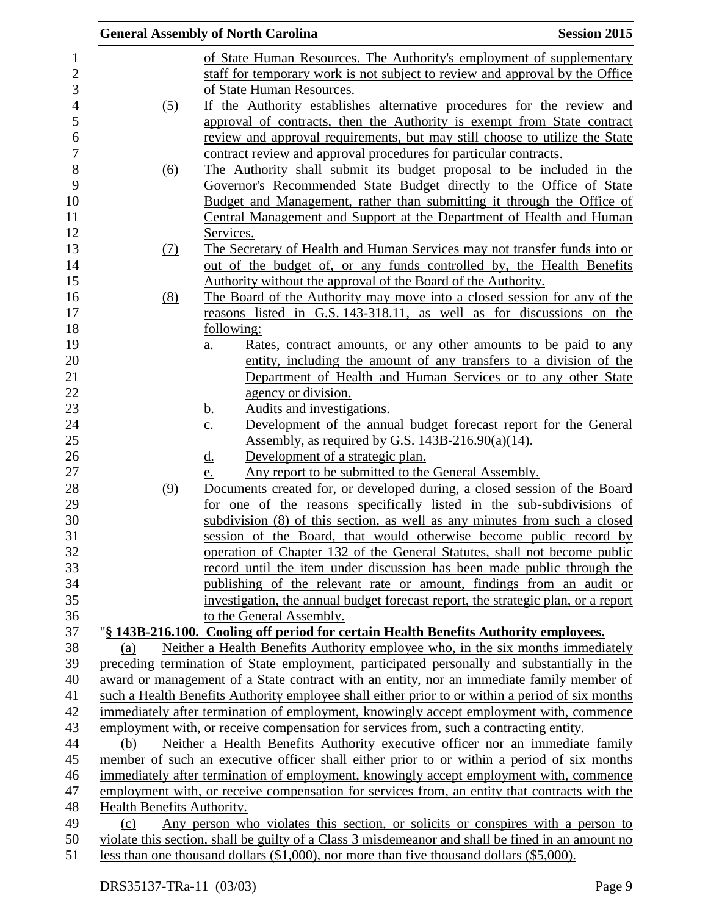|                            | <b>General Assembly of North Carolina</b><br><b>Session 2015</b>                                                                                                                     |
|----------------------------|--------------------------------------------------------------------------------------------------------------------------------------------------------------------------------------|
|                            | of State Human Resources. The Authority's employment of supplementary                                                                                                                |
|                            | staff for temporary work is not subject to review and approval by the Office                                                                                                         |
|                            | of State Human Resources.                                                                                                                                                            |
| (5)                        | If the Authority establishes alternative procedures for the review and                                                                                                               |
|                            | approval of contracts, then the Authority is exempt from State contract                                                                                                              |
|                            | review and approval requirements, but may still choose to utilize the State                                                                                                          |
|                            | contract review and approval procedures for particular contracts.                                                                                                                    |
| <u>(6)</u>                 | The Authority shall submit its budget proposal to be included in the                                                                                                                 |
|                            | Governor's Recommended State Budget directly to the Office of State                                                                                                                  |
|                            | Budget and Management, rather than submitting it through the Office of                                                                                                               |
|                            | Central Management and Support at the Department of Health and Human                                                                                                                 |
|                            | Services.                                                                                                                                                                            |
| (7)                        | The Secretary of Health and Human Services may not transfer funds into or                                                                                                            |
|                            | out of the budget of, or any funds controlled by, the Health Benefits                                                                                                                |
|                            | Authority without the approval of the Board of the Authority.                                                                                                                        |
| (8)                        | The Board of the Authority may move into a closed session for any of the                                                                                                             |
|                            | reasons listed in G.S. 143-318.11, as well as for discussions on the                                                                                                                 |
|                            | following:                                                                                                                                                                           |
|                            | <u>Rates, contract amounts, or any other amounts to be paid to any</u><br>$\underline{a}$ .                                                                                          |
|                            | entity, including the amount of any transfers to a division of the                                                                                                                   |
|                            | Department of Health and Human Services or to any other State                                                                                                                        |
|                            | agency or division.                                                                                                                                                                  |
|                            | Audits and investigations.<br><u>b.</u>                                                                                                                                              |
|                            | Development of the annual budget forecast report for the General<br>$\underline{c}$ .                                                                                                |
|                            | Assembly, as required by G.S. $143B-216.90(a)(14)$ .                                                                                                                                 |
|                            | Development of a strategic plan.<br><u>d.</u>                                                                                                                                        |
|                            | Any report to be submitted to the General Assembly.<br>e.                                                                                                                            |
| (9)                        | Documents created for, or developed during, a closed session of the Board                                                                                                            |
|                            | for one of the reasons specifically listed in the sub-subdivisions of                                                                                                                |
|                            | subdivision (8) of this section, as well as any minutes from such a closed                                                                                                           |
|                            | session of the Board, that would otherwise become public record by                                                                                                                   |
|                            | operation of Chapter 132 of the General Statutes, shall not become public                                                                                                            |
|                            | record until the item under discussion has been made public through the                                                                                                              |
|                            | publishing of the relevant rate or amount, findings from an audit or                                                                                                                 |
|                            | investigation, the annual budget forecast report, the strategic plan, or a report                                                                                                    |
|                            | to the General Assembly.                                                                                                                                                             |
|                            | "§ 143B-216.100. Cooling off period for certain Health Benefits Authority employees.                                                                                                 |
| (a)                        | Neither a Health Benefits Authority employee who, in the six months immediately                                                                                                      |
|                            | preceding termination of State employment, participated personally and substantially in the                                                                                          |
|                            | award or management of a State contract with an entity, nor an immediate family member of                                                                                            |
|                            | such a Health Benefits Authority employee shall either prior to or within a period of six months                                                                                     |
|                            | immediately after termination of employment, knowingly accept employment with, commence                                                                                              |
|                            | employment with, or receive compensation for services from, such a contracting entity.                                                                                               |
| (b)                        | Neither a Health Benefits Authority executive officer nor an immediate family                                                                                                        |
|                            | member of such an executive officer shall either prior to or within a period of six months                                                                                           |
|                            | immediately after termination of employment, knowingly accept employment with, commence                                                                                              |
|                            | employment with, or receive compensation for services from, an entity that contracts with the                                                                                        |
| Health Benefits Authority. |                                                                                                                                                                                      |
| (c)                        | Any person who violates this section, or solicits or conspires with a person to<br>violate this section, shall be guilty of a Class 3 misdemeanor and shall be fined in an amount no |
|                            | less than one thousand dollars (\$1,000), nor more than five thousand dollars (\$5,000).                                                                                             |
|                            |                                                                                                                                                                                      |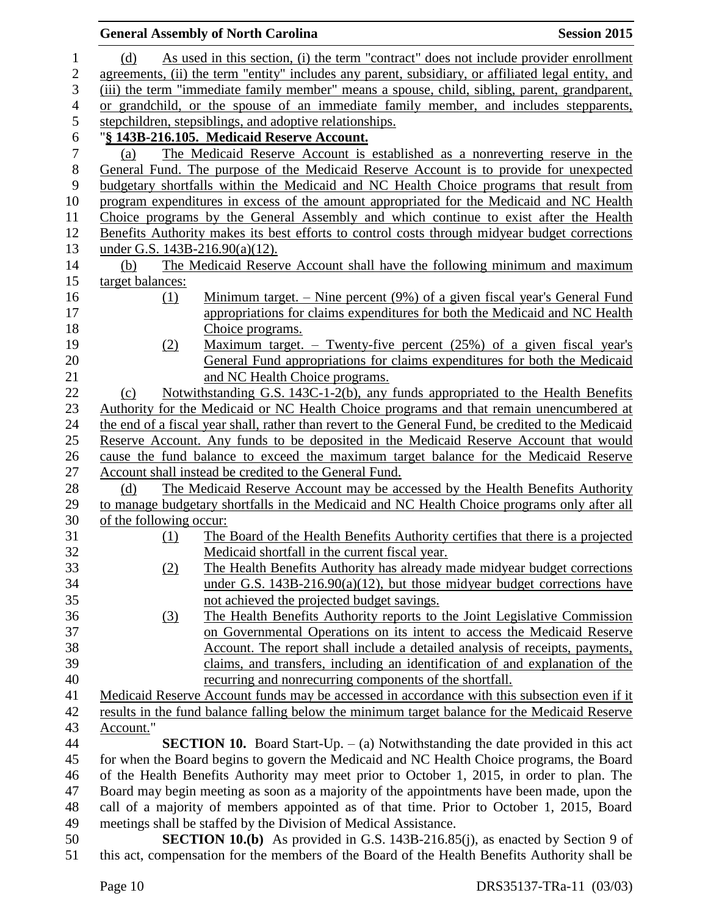|                | <b>General Assembly of North Carolina</b>                                                                                                      | <b>Session 2015</b> |
|----------------|------------------------------------------------------------------------------------------------------------------------------------------------|---------------------|
| 1              | As used in this section, (i) the term "contract" does not include provider enrollment<br>(d)                                                   |                     |
| 2              | agreements, (ii) the term "entity" includes any parent, subsidiary, or affiliated legal entity, and                                            |                     |
| 3              | (iii) the term "immediate family member" means a spouse, child, sibling, parent, grandparent,                                                  |                     |
| $\overline{4}$ | or grandchild, or the spouse of an immediate family member, and includes stepparents,                                                          |                     |
| 5              | stepchildren, stepsiblings, and adoptive relationships.                                                                                        |                     |
| 6              | "§ 143B-216.105. Medicaid Reserve Account.                                                                                                     |                     |
| $\tau$         | The Medicaid Reserve Account is established as a nonreverting reserve in the<br>(a)                                                            |                     |
| $8\,$          | General Fund. The purpose of the Medicaid Reserve Account is to provide for unexpected                                                         |                     |
| 9              | budgetary shortfalls within the Medicaid and NC Health Choice programs that result from                                                        |                     |
| 10             | program expenditures in excess of the amount appropriated for the Medicaid and NC Health                                                       |                     |
| 11             | Choice programs by the General Assembly and which continue to exist after the Health                                                           |                     |
| 12             | Benefits Authority makes its best efforts to control costs through midyear budget corrections                                                  |                     |
| 13             | under G.S. 143B-216.90(a)(12).                                                                                                                 |                     |
| 14             | The Medicaid Reserve Account shall have the following minimum and maximum<br>(b)                                                               |                     |
| 15             | target balances:                                                                                                                               |                     |
| 16             | Minimum target. $-$ Nine percent (9%) of a given fiscal year's General Fund<br>(1)                                                             |                     |
| 17             | appropriations for claims expenditures for both the Medicaid and NC Health                                                                     |                     |
| 18             | Choice programs.                                                                                                                               |                     |
| 19             | <u>Maximum target. – Twenty-five percent (25%) of a given fiscal year's</u><br>(2)                                                             |                     |
| 20             | General Fund appropriations for claims expenditures for both the Medicaid                                                                      |                     |
| 21             | and NC Health Choice programs.                                                                                                                 |                     |
| 22             | Notwithstanding G.S. 143C-1-2(b), any funds appropriated to the Health Benefits<br>(c)                                                         |                     |
| 23             | Authority for the Medicaid or NC Health Choice programs and that remain unencumbered at                                                        |                     |
| 24             | the end of a fiscal year shall, rather than revert to the General Fund, be credited to the Medicaid                                            |                     |
| 25             | Reserve Account. Any funds to be deposited in the Medicaid Reserve Account that would                                                          |                     |
| 26<br>27       | cause the fund balance to exceed the maximum target balance for the Medicaid Reserve<br>Account shall instead be credited to the General Fund. |                     |
| 28             | The Medicaid Reserve Account may be accessed by the Health Benefits Authority<br>(d)                                                           |                     |
| 29             | to manage budgetary shortfalls in the Medicaid and NC Health Choice programs only after all                                                    |                     |
| 30             | of the following occur:                                                                                                                        |                     |
| 31             | The Board of the Health Benefits Authority certifies that there is a projected<br><u>(1)</u>                                                   |                     |
| 32             | Medicaid shortfall in the current fiscal year.                                                                                                 |                     |
| 33             | The Health Benefits Authority has already made midyear budget corrections<br>(2)                                                               |                     |
| 34             | under G.S. $143B-216.90(a)(12)$ , but those midyear budget corrections have                                                                    |                     |
| 35             | not achieved the projected budget savings.                                                                                                     |                     |
| 36             | The Health Benefits Authority reports to the Joint Legislative Commission<br><u>(3)</u>                                                        |                     |
| 37             | on Governmental Operations on its intent to access the Medicaid Reserve                                                                        |                     |
| 38             | Account. The report shall include a detailed analysis of receipts, payments,                                                                   |                     |
| 39             | claims, and transfers, including an identification of and explanation of the                                                                   |                     |
| 40             | recurring and nonrecurring components of the shortfall.                                                                                        |                     |
| 41             | Medicaid Reserve Account funds may be accessed in accordance with this subsection even if it                                                   |                     |
| 42             | results in the fund balance falling below the minimum target balance for the Medicaid Reserve                                                  |                     |
| 43             | Account."                                                                                                                                      |                     |
| 44             | <b>SECTION 10.</b> Board Start-Up. $-$ (a) Notwithstanding the date provided in this act                                                       |                     |
| 45             | for when the Board begins to govern the Medicaid and NC Health Choice programs, the Board                                                      |                     |
| 46             | of the Health Benefits Authority may meet prior to October 1, 2015, in order to plan. The                                                      |                     |
| 47             | Board may begin meeting as soon as a majority of the appointments have been made, upon the                                                     |                     |
| 48             | call of a majority of members appointed as of that time. Prior to October 1, 2015, Board                                                       |                     |
| 49             | meetings shall be staffed by the Division of Medical Assistance.                                                                               |                     |
| 50             | <b>SECTION 10.(b)</b> As provided in G.S. 143B-216.85(j), as enacted by Section 9 of                                                           |                     |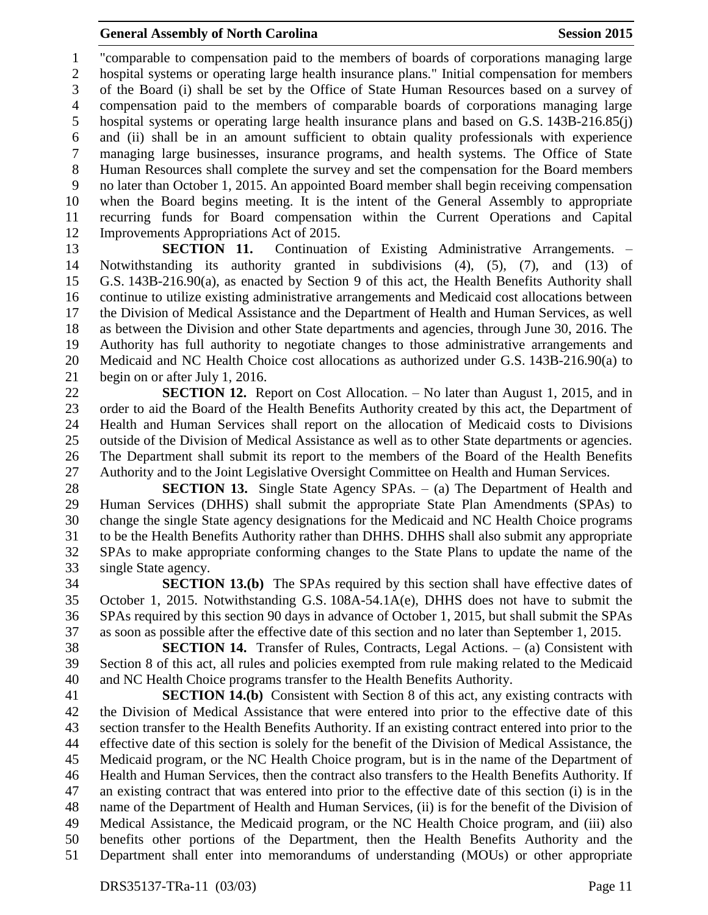"comparable to compensation paid to the members of boards of corporations managing large hospital systems or operating large health insurance plans." Initial compensation for members of the Board (i) shall be set by the Office of State Human Resources based on a survey of compensation paid to the members of comparable boards of corporations managing large hospital systems or operating large health insurance plans and based on G.S. 143B-216.85(j) and (ii) shall be in an amount sufficient to obtain quality professionals with experience managing large businesses, insurance programs, and health systems. The Office of State Human Resources shall complete the survey and set the compensation for the Board members no later than October 1, 2015. An appointed Board member shall begin receiving compensation when the Board begins meeting. It is the intent of the General Assembly to appropriate recurring funds for Board compensation within the Current Operations and Capital Improvements Appropriations Act of 2015.

 **SECTION 11.** Continuation of Existing Administrative Arrangements. – Notwithstanding its authority granted in subdivisions (4), (5), (7), and (13) of G.S. 143B-216.90(a), as enacted by Section 9 of this act, the Health Benefits Authority shall continue to utilize existing administrative arrangements and Medicaid cost allocations between the Division of Medical Assistance and the Department of Health and Human Services, as well as between the Division and other State departments and agencies, through June 30, 2016. The Authority has full authority to negotiate changes to those administrative arrangements and Medicaid and NC Health Choice cost allocations as authorized under G.S. 143B-216.90(a) to begin on or after July 1, 2016.

 **SECTION 12.** Report on Cost Allocation. – No later than August 1, 2015, and in order to aid the Board of the Health Benefits Authority created by this act, the Department of Health and Human Services shall report on the allocation of Medicaid costs to Divisions outside of the Division of Medical Assistance as well as to other State departments or agencies. The Department shall submit its report to the members of the Board of the Health Benefits Authority and to the Joint Legislative Oversight Committee on Health and Human Services.

 **SECTION 13.** Single State Agency SPAs. – (a) The Department of Health and Human Services (DHHS) shall submit the appropriate State Plan Amendments (SPAs) to change the single State agency designations for the Medicaid and NC Health Choice programs to be the Health Benefits Authority rather than DHHS. DHHS shall also submit any appropriate SPAs to make appropriate conforming changes to the State Plans to update the name of the single State agency.

 **SECTION 13.(b)** The SPAs required by this section shall have effective dates of October 1, 2015. Notwithstanding G.S. 108A-54.1A(e), DHHS does not have to submit the SPAs required by this section 90 days in advance of October 1, 2015, but shall submit the SPAs as soon as possible after the effective date of this section and no later than September 1, 2015.

 **SECTION 14.** Transfer of Rules, Contracts, Legal Actions. – (a) Consistent with Section 8 of this act, all rules and policies exempted from rule making related to the Medicaid and NC Health Choice programs transfer to the Health Benefits Authority.

 **SECTION 14.(b)** Consistent with Section 8 of this act, any existing contracts with the Division of Medical Assistance that were entered into prior to the effective date of this section transfer to the Health Benefits Authority. If an existing contract entered into prior to the effective date of this section is solely for the benefit of the Division of Medical Assistance, the Medicaid program, or the NC Health Choice program, but is in the name of the Department of Health and Human Services, then the contract also transfers to the Health Benefits Authority. If an existing contract that was entered into prior to the effective date of this section (i) is in the name of the Department of Health and Human Services, (ii) is for the benefit of the Division of Medical Assistance, the Medicaid program, or the NC Health Choice program, and (iii) also benefits other portions of the Department, then the Health Benefits Authority and the Department shall enter into memorandums of understanding (MOUs) or other appropriate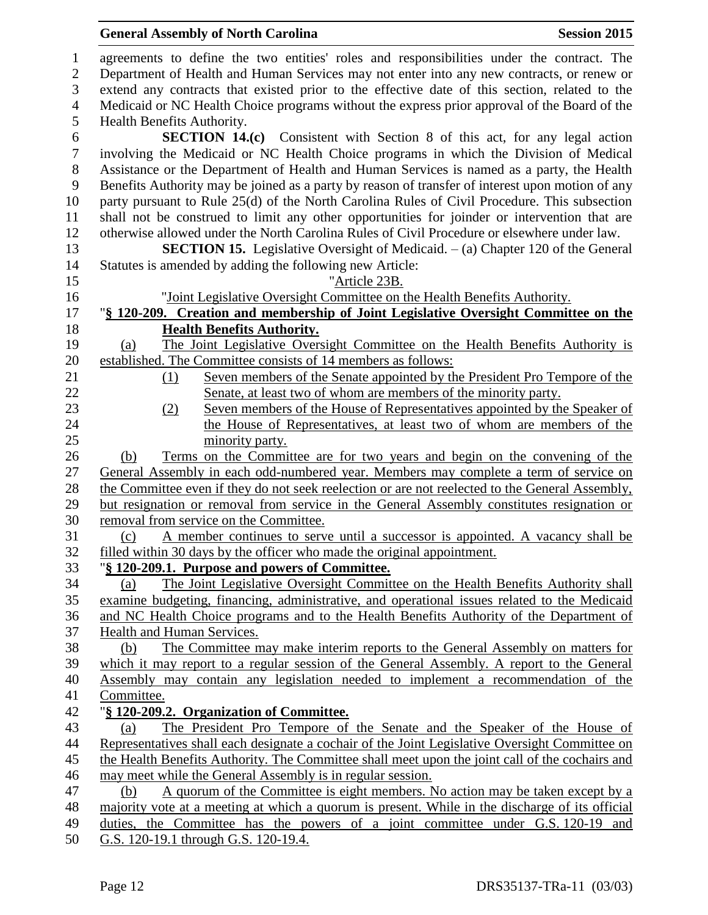# **General Assembly of North Carolina Session 2015**

| 1                | agreements to define the two entities' roles and responsibilities under the contract. The        |
|------------------|--------------------------------------------------------------------------------------------------|
| $\overline{2}$   | Department of Health and Human Services may not enter into any new contracts, or renew or        |
| 3                | extend any contracts that existed prior to the effective date of this section, related to the    |
| $\overline{4}$   | Medicaid or NC Health Choice programs without the express prior approval of the Board of the     |
| 5                | Health Benefits Authority.                                                                       |
| 6                | <b>SECTION 14.(c)</b> Consistent with Section 8 of this act, for any legal action                |
| $\boldsymbol{7}$ | involving the Medicaid or NC Health Choice programs in which the Division of Medical             |
| $8\,$            | Assistance or the Department of Health and Human Services is named as a party, the Health        |
| 9                | Benefits Authority may be joined as a party by reason of transfer of interest upon motion of any |
| 10               | party pursuant to Rule 25(d) of the North Carolina Rules of Civil Procedure. This subsection     |
| 11               | shall not be construed to limit any other opportunities for joinder or intervention that are     |
| 12               | otherwise allowed under the North Carolina Rules of Civil Procedure or elsewhere under law.      |
| 13               | <b>SECTION 15.</b> Legislative Oversight of Medicaid. $-$ (a) Chapter 120 of the General         |
| 14               | Statutes is amended by adding the following new Article:                                         |
| 15               | "Article 23B.                                                                                    |
| 16               | "Joint Legislative Oversight Committee on the Health Benefits Authority.                         |
| 17               | "§ 120-209. Creation and membership of Joint Legislative Oversight Committee on the              |
| 18               | <b>Health Benefits Authority.</b>                                                                |
| 19               | The Joint Legislative Oversight Committee on the Health Benefits Authority is<br>(a)             |
| 20               | established. The Committee consists of 14 members as follows:                                    |
| 21               | Seven members of the Senate appointed by the President Pro Tempore of the<br>(1)                 |
| 22               | Senate, at least two of whom are members of the minority party.                                  |
| 23               | Seven members of the House of Representatives appointed by the Speaker of<br>(2)                 |
| 24               | the House of Representatives, at least two of whom are members of the                            |
| 25               | minority party.                                                                                  |
| 26               | Terms on the Committee are for two years and begin on the convening of the<br>(b)                |
| 27               | General Assembly in each odd-numbered year. Members may complete a term of service on            |
| 28               | the Committee even if they do not seek reelection or are not reelected to the General Assembly,  |
| 29               | but resignation or removal from service in the General Assembly constitutes resignation or       |
| 30               | removal from service on the Committee.                                                           |
| 31               | A member continues to serve until a successor is appointed. A vacancy shall be<br>(c)            |
| 32               | filled within 30 days by the officer who made the original appointment.                          |
| 33               | "§ 120-209.1. Purpose and powers of Committee.                                                   |
| 34               | The Joint Legislative Oversight Committee on the Health Benefits Authority shall<br>(a)          |
| 35               | examine budgeting, financing, administrative, and operational issues related to the Medicaid     |
| 36               | and NC Health Choice programs and to the Health Benefits Authority of the Department of          |
| 37               | <b>Health and Human Services.</b>                                                                |
| 38               | The Committee may make interim reports to the General Assembly on matters for<br>(b)             |
| 39               | which it may report to a regular session of the General Assembly. A report to the General        |
| 40               | Assembly may contain any legislation needed to implement a recommendation of the                 |
| 41               | Committee.                                                                                       |
| 42               | "§ 120-209.2. Organization of Committee.                                                         |
| 43               | The President Pro Tempore of the Senate and the Speaker of the House of<br>(a)                   |
| 44               | Representatives shall each designate a cochair of the Joint Legislative Oversight Committee on   |
| 45               | the Health Benefits Authority. The Committee shall meet upon the joint call of the cochairs and  |
| 46               | may meet while the General Assembly is in regular session.                                       |
| 47               | A quorum of the Committee is eight members. No action may be taken except by a<br>(b)            |
| 48               | majority vote at a meeting at which a quorum is present. While in the discharge of its official  |
| 49               | duties, the Committee has the powers of a joint committee under G.S. 120-19 and                  |
| 50               | G.S. 120-19.1 through G.S. 120-19.4.                                                             |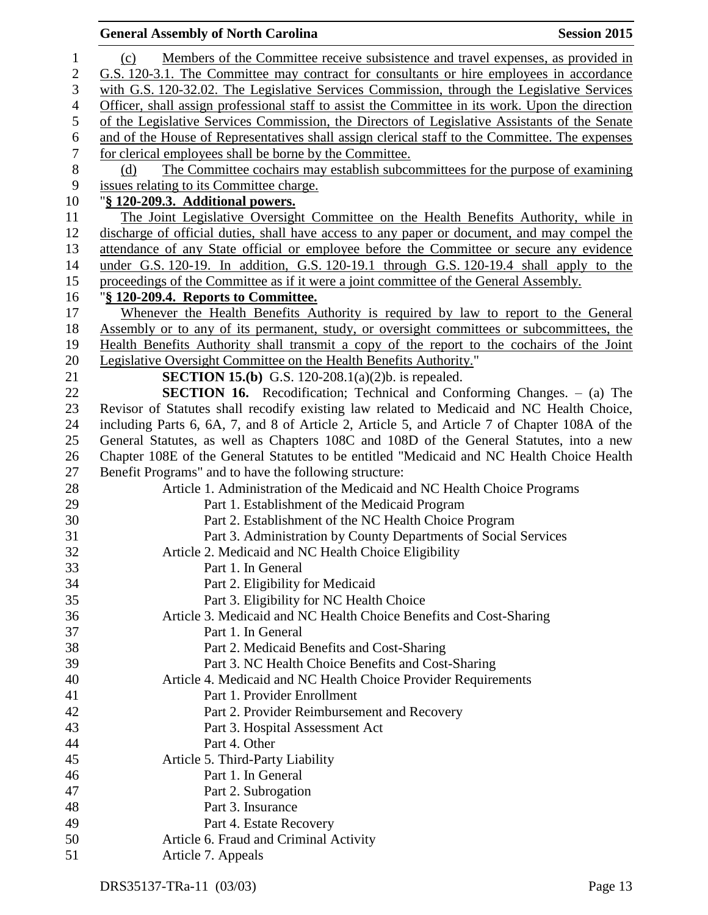|                  | <b>General Assembly of North Carolina</b><br><b>Session 2015</b>                                 |
|------------------|--------------------------------------------------------------------------------------------------|
| $\mathbf{1}$     | Members of the Committee receive subsistence and travel expenses, as provided in<br>(c)          |
| $\mathbf{2}$     | G.S. 120-3.1. The Committee may contract for consultants or hire employees in accordance         |
| 3                | with G.S. 120-32.02. The Legislative Services Commission, through the Legislative Services       |
| $\overline{4}$   | Officer, shall assign professional staff to assist the Committee in its work. Upon the direction |
| 5                | of the Legislative Services Commission, the Directors of Legislative Assistants of the Senate    |
| $\boldsymbol{6}$ | and of the House of Representatives shall assign clerical staff to the Committee. The expenses   |
| $\boldsymbol{7}$ | for clerical employees shall be borne by the Committee.                                          |
| $\, 8$           | The Committee cochairs may establish subcommittees for the purpose of examining<br>(d)           |
| 9                | issues relating to its Committee charge.                                                         |
| 10               | "§ 120-209.3. Additional powers.                                                                 |
| 11               | The Joint Legislative Oversight Committee on the Health Benefits Authority, while in             |
| 12               | discharge of official duties, shall have access to any paper or document, and may compel the     |
| 13               | attendance of any State official or employee before the Committee or secure any evidence         |
| 14               | under G.S. 120-19. In addition, G.S. 120-19.1 through G.S. 120-19.4 shall apply to the           |
| 15               | proceedings of the Committee as if it were a joint committee of the General Assembly.            |
| 16               | "§ 120-209.4. Reports to Committee.                                                              |
| 17               | Whenever the Health Benefits Authority is required by law to report to the General               |
| 18               | Assembly or to any of its permanent, study, or oversight committees or subcommittees, the        |
| 19               | Health Benefits Authority shall transmit a copy of the report to the cochairs of the Joint       |
| 20               | Legislative Oversight Committee on the Health Benefits Authority."                               |
| 21               | <b>SECTION 15.(b)</b> G.S. 120-208.1(a)(2)b. is repealed.                                        |
| 22               | <b>SECTION 16.</b> Recodification; Technical and Conforming Changes. - (a) The                   |
| 23               | Revisor of Statutes shall recodify existing law related to Medicaid and NC Health Choice,        |
| 24               | including Parts 6, 6A, 7, and 8 of Article 2, Article 5, and Article 7 of Chapter 108A of the    |
| 25               | General Statutes, as well as Chapters 108C and 108D of the General Statutes, into a new          |
| 26               | Chapter 108E of the General Statutes to be entitled "Medicaid and NC Health Choice Health        |
| 27               | Benefit Programs" and to have the following structure:                                           |
| 28               | Article 1. Administration of the Medicaid and NC Health Choice Programs                          |
| 29               | Part 1. Establishment of the Medicaid Program                                                    |
| 30               | Part 2. Establishment of the NC Health Choice Program                                            |
| 31               | Part 3. Administration by County Departments of Social Services                                  |
| 32               | Article 2. Medicaid and NC Health Choice Eligibility                                             |
| 33               | Part 1. In General                                                                               |
| 34               | Part 2. Eligibility for Medicaid                                                                 |
| 35               | Part 3. Eligibility for NC Health Choice                                                         |
| 36               | Article 3. Medicaid and NC Health Choice Benefits and Cost-Sharing                               |
| 37               | Part 1. In General                                                                               |
| 38               | Part 2. Medicaid Benefits and Cost-Sharing                                                       |
| 39               | Part 3. NC Health Choice Benefits and Cost-Sharing                                               |
| 40               | Article 4. Medicaid and NC Health Choice Provider Requirements                                   |
| 41               | Part 1. Provider Enrollment                                                                      |
| 42               | Part 2. Provider Reimbursement and Recovery                                                      |
| 43               | Part 3. Hospital Assessment Act                                                                  |
| 44               | Part 4. Other                                                                                    |
| 45               | Article 5. Third-Party Liability                                                                 |
| 46               | Part 1. In General                                                                               |
| 47               | Part 2. Subrogation                                                                              |
| 48               | Part 3. Insurance                                                                                |
| 49               | Part 4. Estate Recovery                                                                          |
| 50               | Article 6. Fraud and Criminal Activity                                                           |
| 51               | Article 7. Appeals                                                                               |
|                  |                                                                                                  |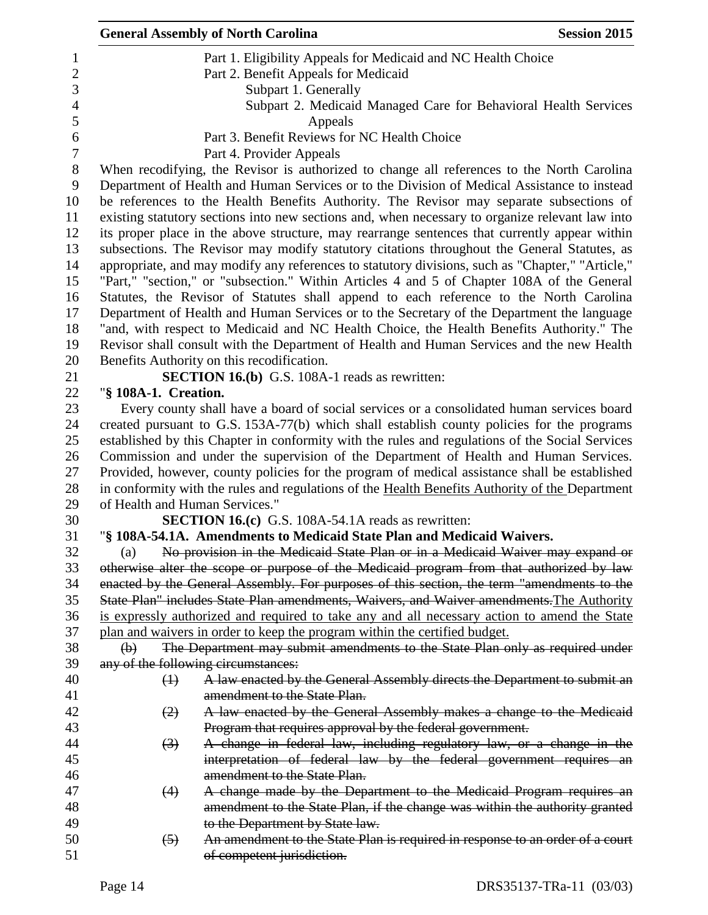|                  |                                                                               | <b>Session 2015</b>                                                                                                                                                                                                                                                                                                                                                                                                                                                                                                                                                                                                                                                                                                                                                                                                                                                                                                                                                                                                                                                                                                                                                                                                                                                                                                                                                                                                                                                                                                                                                                                                                                                                                                                                                                                                                                                                                                                                                                                                                                                                                                                                                                                                                                                                                                                                                                                                                                                                                                                                                                                                                                                                                                                                                                                                                                                                                                                                                                                                                                                                                                                                                                                                                                                                                                                                                                                                                                                                                                                                                                                                                                                                                                           |  |  |  |
|------------------|-------------------------------------------------------------------------------|-------------------------------------------------------------------------------------------------------------------------------------------------------------------------------------------------------------------------------------------------------------------------------------------------------------------------------------------------------------------------------------------------------------------------------------------------------------------------------------------------------------------------------------------------------------------------------------------------------------------------------------------------------------------------------------------------------------------------------------------------------------------------------------------------------------------------------------------------------------------------------------------------------------------------------------------------------------------------------------------------------------------------------------------------------------------------------------------------------------------------------------------------------------------------------------------------------------------------------------------------------------------------------------------------------------------------------------------------------------------------------------------------------------------------------------------------------------------------------------------------------------------------------------------------------------------------------------------------------------------------------------------------------------------------------------------------------------------------------------------------------------------------------------------------------------------------------------------------------------------------------------------------------------------------------------------------------------------------------------------------------------------------------------------------------------------------------------------------------------------------------------------------------------------------------------------------------------------------------------------------------------------------------------------------------------------------------------------------------------------------------------------------------------------------------------------------------------------------------------------------------------------------------------------------------------------------------------------------------------------------------------------------------------------------------------------------------------------------------------------------------------------------------------------------------------------------------------------------------------------------------------------------------------------------------------------------------------------------------------------------------------------------------------------------------------------------------------------------------------------------------------------------------------------------------------------------------------------------------------------------------------------------------------------------------------------------------------------------------------------------------------------------------------------------------------------------------------------------------------------------------------------------------------------------------------------------------------------------------------------------------------------------------------------------------------------------------------------------------|--|--|--|
|                  |                                                                               |                                                                                                                                                                                                                                                                                                                                                                                                                                                                                                                                                                                                                                                                                                                                                                                                                                                                                                                                                                                                                                                                                                                                                                                                                                                                                                                                                                                                                                                                                                                                                                                                                                                                                                                                                                                                                                                                                                                                                                                                                                                                                                                                                                                                                                                                                                                                                                                                                                                                                                                                                                                                                                                                                                                                                                                                                                                                                                                                                                                                                                                                                                                                                                                                                                                                                                                                                                                                                                                                                                                                                                                                                                                                                                                               |  |  |  |
|                  |                                                                               |                                                                                                                                                                                                                                                                                                                                                                                                                                                                                                                                                                                                                                                                                                                                                                                                                                                                                                                                                                                                                                                                                                                                                                                                                                                                                                                                                                                                                                                                                                                                                                                                                                                                                                                                                                                                                                                                                                                                                                                                                                                                                                                                                                                                                                                                                                                                                                                                                                                                                                                                                                                                                                                                                                                                                                                                                                                                                                                                                                                                                                                                                                                                                                                                                                                                                                                                                                                                                                                                                                                                                                                                                                                                                                                               |  |  |  |
|                  |                                                                               |                                                                                                                                                                                                                                                                                                                                                                                                                                                                                                                                                                                                                                                                                                                                                                                                                                                                                                                                                                                                                                                                                                                                                                                                                                                                                                                                                                                                                                                                                                                                                                                                                                                                                                                                                                                                                                                                                                                                                                                                                                                                                                                                                                                                                                                                                                                                                                                                                                                                                                                                                                                                                                                                                                                                                                                                                                                                                                                                                                                                                                                                                                                                                                                                                                                                                                                                                                                                                                                                                                                                                                                                                                                                                                                               |  |  |  |
|                  |                                                                               |                                                                                                                                                                                                                                                                                                                                                                                                                                                                                                                                                                                                                                                                                                                                                                                                                                                                                                                                                                                                                                                                                                                                                                                                                                                                                                                                                                                                                                                                                                                                                                                                                                                                                                                                                                                                                                                                                                                                                                                                                                                                                                                                                                                                                                                                                                                                                                                                                                                                                                                                                                                                                                                                                                                                                                                                                                                                                                                                                                                                                                                                                                                                                                                                                                                                                                                                                                                                                                                                                                                                                                                                                                                                                                                               |  |  |  |
|                  |                                                                               |                                                                                                                                                                                                                                                                                                                                                                                                                                                                                                                                                                                                                                                                                                                                                                                                                                                                                                                                                                                                                                                                                                                                                                                                                                                                                                                                                                                                                                                                                                                                                                                                                                                                                                                                                                                                                                                                                                                                                                                                                                                                                                                                                                                                                                                                                                                                                                                                                                                                                                                                                                                                                                                                                                                                                                                                                                                                                                                                                                                                                                                                                                                                                                                                                                                                                                                                                                                                                                                                                                                                                                                                                                                                                                                               |  |  |  |
|                  |                                                                               |                                                                                                                                                                                                                                                                                                                                                                                                                                                                                                                                                                                                                                                                                                                                                                                                                                                                                                                                                                                                                                                                                                                                                                                                                                                                                                                                                                                                                                                                                                                                                                                                                                                                                                                                                                                                                                                                                                                                                                                                                                                                                                                                                                                                                                                                                                                                                                                                                                                                                                                                                                                                                                                                                                                                                                                                                                                                                                                                                                                                                                                                                                                                                                                                                                                                                                                                                                                                                                                                                                                                                                                                                                                                                                                               |  |  |  |
|                  |                                                                               |                                                                                                                                                                                                                                                                                                                                                                                                                                                                                                                                                                                                                                                                                                                                                                                                                                                                                                                                                                                                                                                                                                                                                                                                                                                                                                                                                                                                                                                                                                                                                                                                                                                                                                                                                                                                                                                                                                                                                                                                                                                                                                                                                                                                                                                                                                                                                                                                                                                                                                                                                                                                                                                                                                                                                                                                                                                                                                                                                                                                                                                                                                                                                                                                                                                                                                                                                                                                                                                                                                                                                                                                                                                                                                                               |  |  |  |
|                  |                                                                               |                                                                                                                                                                                                                                                                                                                                                                                                                                                                                                                                                                                                                                                                                                                                                                                                                                                                                                                                                                                                                                                                                                                                                                                                                                                                                                                                                                                                                                                                                                                                                                                                                                                                                                                                                                                                                                                                                                                                                                                                                                                                                                                                                                                                                                                                                                                                                                                                                                                                                                                                                                                                                                                                                                                                                                                                                                                                                                                                                                                                                                                                                                                                                                                                                                                                                                                                                                                                                                                                                                                                                                                                                                                                                                                               |  |  |  |
|                  |                                                                               |                                                                                                                                                                                                                                                                                                                                                                                                                                                                                                                                                                                                                                                                                                                                                                                                                                                                                                                                                                                                                                                                                                                                                                                                                                                                                                                                                                                                                                                                                                                                                                                                                                                                                                                                                                                                                                                                                                                                                                                                                                                                                                                                                                                                                                                                                                                                                                                                                                                                                                                                                                                                                                                                                                                                                                                                                                                                                                                                                                                                                                                                                                                                                                                                                                                                                                                                                                                                                                                                                                                                                                                                                                                                                                                               |  |  |  |
|                  |                                                                               |                                                                                                                                                                                                                                                                                                                                                                                                                                                                                                                                                                                                                                                                                                                                                                                                                                                                                                                                                                                                                                                                                                                                                                                                                                                                                                                                                                                                                                                                                                                                                                                                                                                                                                                                                                                                                                                                                                                                                                                                                                                                                                                                                                                                                                                                                                                                                                                                                                                                                                                                                                                                                                                                                                                                                                                                                                                                                                                                                                                                                                                                                                                                                                                                                                                                                                                                                                                                                                                                                                                                                                                                                                                                                                                               |  |  |  |
|                  |                                                                               |                                                                                                                                                                                                                                                                                                                                                                                                                                                                                                                                                                                                                                                                                                                                                                                                                                                                                                                                                                                                                                                                                                                                                                                                                                                                                                                                                                                                                                                                                                                                                                                                                                                                                                                                                                                                                                                                                                                                                                                                                                                                                                                                                                                                                                                                                                                                                                                                                                                                                                                                                                                                                                                                                                                                                                                                                                                                                                                                                                                                                                                                                                                                                                                                                                                                                                                                                                                                                                                                                                                                                                                                                                                                                                                               |  |  |  |
|                  |                                                                               |                                                                                                                                                                                                                                                                                                                                                                                                                                                                                                                                                                                                                                                                                                                                                                                                                                                                                                                                                                                                                                                                                                                                                                                                                                                                                                                                                                                                                                                                                                                                                                                                                                                                                                                                                                                                                                                                                                                                                                                                                                                                                                                                                                                                                                                                                                                                                                                                                                                                                                                                                                                                                                                                                                                                                                                                                                                                                                                                                                                                                                                                                                                                                                                                                                                                                                                                                                                                                                                                                                                                                                                                                                                                                                                               |  |  |  |
|                  |                                                                               |                                                                                                                                                                                                                                                                                                                                                                                                                                                                                                                                                                                                                                                                                                                                                                                                                                                                                                                                                                                                                                                                                                                                                                                                                                                                                                                                                                                                                                                                                                                                                                                                                                                                                                                                                                                                                                                                                                                                                                                                                                                                                                                                                                                                                                                                                                                                                                                                                                                                                                                                                                                                                                                                                                                                                                                                                                                                                                                                                                                                                                                                                                                                                                                                                                                                                                                                                                                                                                                                                                                                                                                                                                                                                                                               |  |  |  |
|                  |                                                                               |                                                                                                                                                                                                                                                                                                                                                                                                                                                                                                                                                                                                                                                                                                                                                                                                                                                                                                                                                                                                                                                                                                                                                                                                                                                                                                                                                                                                                                                                                                                                                                                                                                                                                                                                                                                                                                                                                                                                                                                                                                                                                                                                                                                                                                                                                                                                                                                                                                                                                                                                                                                                                                                                                                                                                                                                                                                                                                                                                                                                                                                                                                                                                                                                                                                                                                                                                                                                                                                                                                                                                                                                                                                                                                                               |  |  |  |
|                  |                                                                               |                                                                                                                                                                                                                                                                                                                                                                                                                                                                                                                                                                                                                                                                                                                                                                                                                                                                                                                                                                                                                                                                                                                                                                                                                                                                                                                                                                                                                                                                                                                                                                                                                                                                                                                                                                                                                                                                                                                                                                                                                                                                                                                                                                                                                                                                                                                                                                                                                                                                                                                                                                                                                                                                                                                                                                                                                                                                                                                                                                                                                                                                                                                                                                                                                                                                                                                                                                                                                                                                                                                                                                                                                                                                                                                               |  |  |  |
|                  |                                                                               |                                                                                                                                                                                                                                                                                                                                                                                                                                                                                                                                                                                                                                                                                                                                                                                                                                                                                                                                                                                                                                                                                                                                                                                                                                                                                                                                                                                                                                                                                                                                                                                                                                                                                                                                                                                                                                                                                                                                                                                                                                                                                                                                                                                                                                                                                                                                                                                                                                                                                                                                                                                                                                                                                                                                                                                                                                                                                                                                                                                                                                                                                                                                                                                                                                                                                                                                                                                                                                                                                                                                                                                                                                                                                                                               |  |  |  |
|                  |                                                                               |                                                                                                                                                                                                                                                                                                                                                                                                                                                                                                                                                                                                                                                                                                                                                                                                                                                                                                                                                                                                                                                                                                                                                                                                                                                                                                                                                                                                                                                                                                                                                                                                                                                                                                                                                                                                                                                                                                                                                                                                                                                                                                                                                                                                                                                                                                                                                                                                                                                                                                                                                                                                                                                                                                                                                                                                                                                                                                                                                                                                                                                                                                                                                                                                                                                                                                                                                                                                                                                                                                                                                                                                                                                                                                                               |  |  |  |
|                  |                                                                               |                                                                                                                                                                                                                                                                                                                                                                                                                                                                                                                                                                                                                                                                                                                                                                                                                                                                                                                                                                                                                                                                                                                                                                                                                                                                                                                                                                                                                                                                                                                                                                                                                                                                                                                                                                                                                                                                                                                                                                                                                                                                                                                                                                                                                                                                                                                                                                                                                                                                                                                                                                                                                                                                                                                                                                                                                                                                                                                                                                                                                                                                                                                                                                                                                                                                                                                                                                                                                                                                                                                                                                                                                                                                                                                               |  |  |  |
|                  |                                                                               |                                                                                                                                                                                                                                                                                                                                                                                                                                                                                                                                                                                                                                                                                                                                                                                                                                                                                                                                                                                                                                                                                                                                                                                                                                                                                                                                                                                                                                                                                                                                                                                                                                                                                                                                                                                                                                                                                                                                                                                                                                                                                                                                                                                                                                                                                                                                                                                                                                                                                                                                                                                                                                                                                                                                                                                                                                                                                                                                                                                                                                                                                                                                                                                                                                                                                                                                                                                                                                                                                                                                                                                                                                                                                                                               |  |  |  |
|                  |                                                                               |                                                                                                                                                                                                                                                                                                                                                                                                                                                                                                                                                                                                                                                                                                                                                                                                                                                                                                                                                                                                                                                                                                                                                                                                                                                                                                                                                                                                                                                                                                                                                                                                                                                                                                                                                                                                                                                                                                                                                                                                                                                                                                                                                                                                                                                                                                                                                                                                                                                                                                                                                                                                                                                                                                                                                                                                                                                                                                                                                                                                                                                                                                                                                                                                                                                                                                                                                                                                                                                                                                                                                                                                                                                                                                                               |  |  |  |
|                  |                                                                               |                                                                                                                                                                                                                                                                                                                                                                                                                                                                                                                                                                                                                                                                                                                                                                                                                                                                                                                                                                                                                                                                                                                                                                                                                                                                                                                                                                                                                                                                                                                                                                                                                                                                                                                                                                                                                                                                                                                                                                                                                                                                                                                                                                                                                                                                                                                                                                                                                                                                                                                                                                                                                                                                                                                                                                                                                                                                                                                                                                                                                                                                                                                                                                                                                                                                                                                                                                                                                                                                                                                                                                                                                                                                                                                               |  |  |  |
|                  |                                                                               |                                                                                                                                                                                                                                                                                                                                                                                                                                                                                                                                                                                                                                                                                                                                                                                                                                                                                                                                                                                                                                                                                                                                                                                                                                                                                                                                                                                                                                                                                                                                                                                                                                                                                                                                                                                                                                                                                                                                                                                                                                                                                                                                                                                                                                                                                                                                                                                                                                                                                                                                                                                                                                                                                                                                                                                                                                                                                                                                                                                                                                                                                                                                                                                                                                                                                                                                                                                                                                                                                                                                                                                                                                                                                                                               |  |  |  |
|                  |                                                                               |                                                                                                                                                                                                                                                                                                                                                                                                                                                                                                                                                                                                                                                                                                                                                                                                                                                                                                                                                                                                                                                                                                                                                                                                                                                                                                                                                                                                                                                                                                                                                                                                                                                                                                                                                                                                                                                                                                                                                                                                                                                                                                                                                                                                                                                                                                                                                                                                                                                                                                                                                                                                                                                                                                                                                                                                                                                                                                                                                                                                                                                                                                                                                                                                                                                                                                                                                                                                                                                                                                                                                                                                                                                                                                                               |  |  |  |
|                  |                                                                               |                                                                                                                                                                                                                                                                                                                                                                                                                                                                                                                                                                                                                                                                                                                                                                                                                                                                                                                                                                                                                                                                                                                                                                                                                                                                                                                                                                                                                                                                                                                                                                                                                                                                                                                                                                                                                                                                                                                                                                                                                                                                                                                                                                                                                                                                                                                                                                                                                                                                                                                                                                                                                                                                                                                                                                                                                                                                                                                                                                                                                                                                                                                                                                                                                                                                                                                                                                                                                                                                                                                                                                                                                                                                                                                               |  |  |  |
|                  |                                                                               |                                                                                                                                                                                                                                                                                                                                                                                                                                                                                                                                                                                                                                                                                                                                                                                                                                                                                                                                                                                                                                                                                                                                                                                                                                                                                                                                                                                                                                                                                                                                                                                                                                                                                                                                                                                                                                                                                                                                                                                                                                                                                                                                                                                                                                                                                                                                                                                                                                                                                                                                                                                                                                                                                                                                                                                                                                                                                                                                                                                                                                                                                                                                                                                                                                                                                                                                                                                                                                                                                                                                                                                                                                                                                                                               |  |  |  |
|                  |                                                                               |                                                                                                                                                                                                                                                                                                                                                                                                                                                                                                                                                                                                                                                                                                                                                                                                                                                                                                                                                                                                                                                                                                                                                                                                                                                                                                                                                                                                                                                                                                                                                                                                                                                                                                                                                                                                                                                                                                                                                                                                                                                                                                                                                                                                                                                                                                                                                                                                                                                                                                                                                                                                                                                                                                                                                                                                                                                                                                                                                                                                                                                                                                                                                                                                                                                                                                                                                                                                                                                                                                                                                                                                                                                                                                                               |  |  |  |
|                  |                                                                               |                                                                                                                                                                                                                                                                                                                                                                                                                                                                                                                                                                                                                                                                                                                                                                                                                                                                                                                                                                                                                                                                                                                                                                                                                                                                                                                                                                                                                                                                                                                                                                                                                                                                                                                                                                                                                                                                                                                                                                                                                                                                                                                                                                                                                                                                                                                                                                                                                                                                                                                                                                                                                                                                                                                                                                                                                                                                                                                                                                                                                                                                                                                                                                                                                                                                                                                                                                                                                                                                                                                                                                                                                                                                                                                               |  |  |  |
|                  |                                                                               |                                                                                                                                                                                                                                                                                                                                                                                                                                                                                                                                                                                                                                                                                                                                                                                                                                                                                                                                                                                                                                                                                                                                                                                                                                                                                                                                                                                                                                                                                                                                                                                                                                                                                                                                                                                                                                                                                                                                                                                                                                                                                                                                                                                                                                                                                                                                                                                                                                                                                                                                                                                                                                                                                                                                                                                                                                                                                                                                                                                                                                                                                                                                                                                                                                                                                                                                                                                                                                                                                                                                                                                                                                                                                                                               |  |  |  |
|                  |                                                                               |                                                                                                                                                                                                                                                                                                                                                                                                                                                                                                                                                                                                                                                                                                                                                                                                                                                                                                                                                                                                                                                                                                                                                                                                                                                                                                                                                                                                                                                                                                                                                                                                                                                                                                                                                                                                                                                                                                                                                                                                                                                                                                                                                                                                                                                                                                                                                                                                                                                                                                                                                                                                                                                                                                                                                                                                                                                                                                                                                                                                                                                                                                                                                                                                                                                                                                                                                                                                                                                                                                                                                                                                                                                                                                                               |  |  |  |
|                  |                                                                               |                                                                                                                                                                                                                                                                                                                                                                                                                                                                                                                                                                                                                                                                                                                                                                                                                                                                                                                                                                                                                                                                                                                                                                                                                                                                                                                                                                                                                                                                                                                                                                                                                                                                                                                                                                                                                                                                                                                                                                                                                                                                                                                                                                                                                                                                                                                                                                                                                                                                                                                                                                                                                                                                                                                                                                                                                                                                                                                                                                                                                                                                                                                                                                                                                                                                                                                                                                                                                                                                                                                                                                                                                                                                                                                               |  |  |  |
| (a)              |                                                                               |                                                                                                                                                                                                                                                                                                                                                                                                                                                                                                                                                                                                                                                                                                                                                                                                                                                                                                                                                                                                                                                                                                                                                                                                                                                                                                                                                                                                                                                                                                                                                                                                                                                                                                                                                                                                                                                                                                                                                                                                                                                                                                                                                                                                                                                                                                                                                                                                                                                                                                                                                                                                                                                                                                                                                                                                                                                                                                                                                                                                                                                                                                                                                                                                                                                                                                                                                                                                                                                                                                                                                                                                                                                                                                                               |  |  |  |
|                  |                                                                               |                                                                                                                                                                                                                                                                                                                                                                                                                                                                                                                                                                                                                                                                                                                                                                                                                                                                                                                                                                                                                                                                                                                                                                                                                                                                                                                                                                                                                                                                                                                                                                                                                                                                                                                                                                                                                                                                                                                                                                                                                                                                                                                                                                                                                                                                                                                                                                                                                                                                                                                                                                                                                                                                                                                                                                                                                                                                                                                                                                                                                                                                                                                                                                                                                                                                                                                                                                                                                                                                                                                                                                                                                                                                                                                               |  |  |  |
|                  |                                                                               |                                                                                                                                                                                                                                                                                                                                                                                                                                                                                                                                                                                                                                                                                                                                                                                                                                                                                                                                                                                                                                                                                                                                                                                                                                                                                                                                                                                                                                                                                                                                                                                                                                                                                                                                                                                                                                                                                                                                                                                                                                                                                                                                                                                                                                                                                                                                                                                                                                                                                                                                                                                                                                                                                                                                                                                                                                                                                                                                                                                                                                                                                                                                                                                                                                                                                                                                                                                                                                                                                                                                                                                                                                                                                                                               |  |  |  |
|                  |                                                                               |                                                                                                                                                                                                                                                                                                                                                                                                                                                                                                                                                                                                                                                                                                                                                                                                                                                                                                                                                                                                                                                                                                                                                                                                                                                                                                                                                                                                                                                                                                                                                                                                                                                                                                                                                                                                                                                                                                                                                                                                                                                                                                                                                                                                                                                                                                                                                                                                                                                                                                                                                                                                                                                                                                                                                                                                                                                                                                                                                                                                                                                                                                                                                                                                                                                                                                                                                                                                                                                                                                                                                                                                                                                                                                                               |  |  |  |
|                  |                                                                               |                                                                                                                                                                                                                                                                                                                                                                                                                                                                                                                                                                                                                                                                                                                                                                                                                                                                                                                                                                                                                                                                                                                                                                                                                                                                                                                                                                                                                                                                                                                                                                                                                                                                                                                                                                                                                                                                                                                                                                                                                                                                                                                                                                                                                                                                                                                                                                                                                                                                                                                                                                                                                                                                                                                                                                                                                                                                                                                                                                                                                                                                                                                                                                                                                                                                                                                                                                                                                                                                                                                                                                                                                                                                                                                               |  |  |  |
|                  |                                                                               |                                                                                                                                                                                                                                                                                                                                                                                                                                                                                                                                                                                                                                                                                                                                                                                                                                                                                                                                                                                                                                                                                                                                                                                                                                                                                                                                                                                                                                                                                                                                                                                                                                                                                                                                                                                                                                                                                                                                                                                                                                                                                                                                                                                                                                                                                                                                                                                                                                                                                                                                                                                                                                                                                                                                                                                                                                                                                                                                                                                                                                                                                                                                                                                                                                                                                                                                                                                                                                                                                                                                                                                                                                                                                                                               |  |  |  |
|                  |                                                                               |                                                                                                                                                                                                                                                                                                                                                                                                                                                                                                                                                                                                                                                                                                                                                                                                                                                                                                                                                                                                                                                                                                                                                                                                                                                                                                                                                                                                                                                                                                                                                                                                                                                                                                                                                                                                                                                                                                                                                                                                                                                                                                                                                                                                                                                                                                                                                                                                                                                                                                                                                                                                                                                                                                                                                                                                                                                                                                                                                                                                                                                                                                                                                                                                                                                                                                                                                                                                                                                                                                                                                                                                                                                                                                                               |  |  |  |
|                  |                                                                               |                                                                                                                                                                                                                                                                                                                                                                                                                                                                                                                                                                                                                                                                                                                                                                                                                                                                                                                                                                                                                                                                                                                                                                                                                                                                                                                                                                                                                                                                                                                                                                                                                                                                                                                                                                                                                                                                                                                                                                                                                                                                                                                                                                                                                                                                                                                                                                                                                                                                                                                                                                                                                                                                                                                                                                                                                                                                                                                                                                                                                                                                                                                                                                                                                                                                                                                                                                                                                                                                                                                                                                                                                                                                                                                               |  |  |  |
|                  |                                                                               |                                                                                                                                                                                                                                                                                                                                                                                                                                                                                                                                                                                                                                                                                                                                                                                                                                                                                                                                                                                                                                                                                                                                                                                                                                                                                                                                                                                                                                                                                                                                                                                                                                                                                                                                                                                                                                                                                                                                                                                                                                                                                                                                                                                                                                                                                                                                                                                                                                                                                                                                                                                                                                                                                                                                                                                                                                                                                                                                                                                                                                                                                                                                                                                                                                                                                                                                                                                                                                                                                                                                                                                                                                                                                                                               |  |  |  |
|                  |                                                                               |                                                                                                                                                                                                                                                                                                                                                                                                                                                                                                                                                                                                                                                                                                                                                                                                                                                                                                                                                                                                                                                                                                                                                                                                                                                                                                                                                                                                                                                                                                                                                                                                                                                                                                                                                                                                                                                                                                                                                                                                                                                                                                                                                                                                                                                                                                                                                                                                                                                                                                                                                                                                                                                                                                                                                                                                                                                                                                                                                                                                                                                                                                                                                                                                                                                                                                                                                                                                                                                                                                                                                                                                                                                                                                                               |  |  |  |
|                  |                                                                               |                                                                                                                                                                                                                                                                                                                                                                                                                                                                                                                                                                                                                                                                                                                                                                                                                                                                                                                                                                                                                                                                                                                                                                                                                                                                                                                                                                                                                                                                                                                                                                                                                                                                                                                                                                                                                                                                                                                                                                                                                                                                                                                                                                                                                                                                                                                                                                                                                                                                                                                                                                                                                                                                                                                                                                                                                                                                                                                                                                                                                                                                                                                                                                                                                                                                                                                                                                                                                                                                                                                                                                                                                                                                                                                               |  |  |  |
|                  |                                                                               |                                                                                                                                                                                                                                                                                                                                                                                                                                                                                                                                                                                                                                                                                                                                                                                                                                                                                                                                                                                                                                                                                                                                                                                                                                                                                                                                                                                                                                                                                                                                                                                                                                                                                                                                                                                                                                                                                                                                                                                                                                                                                                                                                                                                                                                                                                                                                                                                                                                                                                                                                                                                                                                                                                                                                                                                                                                                                                                                                                                                                                                                                                                                                                                                                                                                                                                                                                                                                                                                                                                                                                                                                                                                                                                               |  |  |  |
|                  |                                                                               |                                                                                                                                                                                                                                                                                                                                                                                                                                                                                                                                                                                                                                                                                                                                                                                                                                                                                                                                                                                                                                                                                                                                                                                                                                                                                                                                                                                                                                                                                                                                                                                                                                                                                                                                                                                                                                                                                                                                                                                                                                                                                                                                                                                                                                                                                                                                                                                                                                                                                                                                                                                                                                                                                                                                                                                                                                                                                                                                                                                                                                                                                                                                                                                                                                                                                                                                                                                                                                                                                                                                                                                                                                                                                                                               |  |  |  |
|                  |                                                                               |                                                                                                                                                                                                                                                                                                                                                                                                                                                                                                                                                                                                                                                                                                                                                                                                                                                                                                                                                                                                                                                                                                                                                                                                                                                                                                                                                                                                                                                                                                                                                                                                                                                                                                                                                                                                                                                                                                                                                                                                                                                                                                                                                                                                                                                                                                                                                                                                                                                                                                                                                                                                                                                                                                                                                                                                                                                                                                                                                                                                                                                                                                                                                                                                                                                                                                                                                                                                                                                                                                                                                                                                                                                                                                                               |  |  |  |
|                  |                                                                               |                                                                                                                                                                                                                                                                                                                                                                                                                                                                                                                                                                                                                                                                                                                                                                                                                                                                                                                                                                                                                                                                                                                                                                                                                                                                                                                                                                                                                                                                                                                                                                                                                                                                                                                                                                                                                                                                                                                                                                                                                                                                                                                                                                                                                                                                                                                                                                                                                                                                                                                                                                                                                                                                                                                                                                                                                                                                                                                                                                                                                                                                                                                                                                                                                                                                                                                                                                                                                                                                                                                                                                                                                                                                                                                               |  |  |  |
|                  |                                                                               |                                                                                                                                                                                                                                                                                                                                                                                                                                                                                                                                                                                                                                                                                                                                                                                                                                                                                                                                                                                                                                                                                                                                                                                                                                                                                                                                                                                                                                                                                                                                                                                                                                                                                                                                                                                                                                                                                                                                                                                                                                                                                                                                                                                                                                                                                                                                                                                                                                                                                                                                                                                                                                                                                                                                                                                                                                                                                                                                                                                                                                                                                                                                                                                                                                                                                                                                                                                                                                                                                                                                                                                                                                                                                                                               |  |  |  |
|                  |                                                                               |                                                                                                                                                                                                                                                                                                                                                                                                                                                                                                                                                                                                                                                                                                                                                                                                                                                                                                                                                                                                                                                                                                                                                                                                                                                                                                                                                                                                                                                                                                                                                                                                                                                                                                                                                                                                                                                                                                                                                                                                                                                                                                                                                                                                                                                                                                                                                                                                                                                                                                                                                                                                                                                                                                                                                                                                                                                                                                                                                                                                                                                                                                                                                                                                                                                                                                                                                                                                                                                                                                                                                                                                                                                                                                                               |  |  |  |
| $\left(5\right)$ | An amendment to the State Plan is required in response to an order of a court |                                                                                                                                                                                                                                                                                                                                                                                                                                                                                                                                                                                                                                                                                                                                                                                                                                                                                                                                                                                                                                                                                                                                                                                                                                                                                                                                                                                                                                                                                                                                                                                                                                                                                                                                                                                                                                                                                                                                                                                                                                                                                                                                                                                                                                                                                                                                                                                                                                                                                                                                                                                                                                                                                                                                                                                                                                                                                                                                                                                                                                                                                                                                                                                                                                                                                                                                                                                                                                                                                                                                                                                                                                                                                                                               |  |  |  |
|                  | of competent jurisdiction.                                                    |                                                                                                                                                                                                                                                                                                                                                                                                                                                                                                                                                                                                                                                                                                                                                                                                                                                                                                                                                                                                                                                                                                                                                                                                                                                                                                                                                                                                                                                                                                                                                                                                                                                                                                                                                                                                                                                                                                                                                                                                                                                                                                                                                                                                                                                                                                                                                                                                                                                                                                                                                                                                                                                                                                                                                                                                                                                                                                                                                                                                                                                                                                                                                                                                                                                                                                                                                                                                                                                                                                                                                                                                                                                                                                                               |  |  |  |
|                  | $\Theta$<br>$\bigoplus$<br>(2)<br>$\left(3\right)$<br>(4)                     | <b>General Assembly of North Carolina</b><br>Part 1. Eligibility Appeals for Medicaid and NC Health Choice<br>Part 2. Benefit Appeals for Medicaid<br>Subpart 1. Generally<br>Subpart 2. Medicaid Managed Care for Behavioral Health Services<br>Appeals<br>Part 3. Benefit Reviews for NC Health Choice<br>Part 4. Provider Appeals<br>When recodifying, the Revisor is authorized to change all references to the North Carolina<br>Department of Health and Human Services or to the Division of Medical Assistance to instead<br>be references to the Health Benefits Authority. The Revisor may separate subsections of<br>existing statutory sections into new sections and, when necessary to organize relevant law into<br>its proper place in the above structure, may rearrange sentences that currently appear within<br>subsections. The Revisor may modify statutory citations throughout the General Statutes, as<br>appropriate, and may modify any references to statutory divisions, such as "Chapter," "Article,"<br>"Part," "section," or "subsection." Within Articles 4 and 5 of Chapter 108A of the General<br>Statutes, the Revisor of Statutes shall append to each reference to the North Carolina<br>Department of Health and Human Services or to the Secretary of the Department the language<br>"and, with respect to Medicaid and NC Health Choice, the Health Benefits Authority." The<br>Revisor shall consult with the Department of Health and Human Services and the new Health<br>Benefits Authority on this recodification.<br><b>SECTION 16.(b)</b> G.S. 108A-1 reads as rewritten:<br>"§ 108A-1. Creation.<br>Every county shall have a board of social services or a consolidated human services board<br>created pursuant to G.S. 153A-77(b) which shall establish county policies for the programs<br>established by this Chapter in conformity with the rules and regulations of the Social Services<br>Commission and under the supervision of the Department of Health and Human Services.<br>Provided, however, county policies for the program of medical assistance shall be established<br>in conformity with the rules and regulations of the Health Benefits Authority of the Department<br>of Health and Human Services."<br><b>SECTION 16.(c)</b> G.S. 108A-54.1A reads as rewritten:<br>"§ 108A-54.1A. Amendments to Medicaid State Plan and Medicaid Waivers.<br>No provision in the Medicaid State Plan or in a Medicaid Waiver may expand or<br>otherwise alter the scope or purpose of the Medicaid program from that authorized by law<br>enacted by the General Assembly. For purposes of this section, the term "amendments to the<br>State Plan" includes State Plan amendments, Waivers, and Waiver amendments. The Authority<br>is expressly authorized and required to take any and all necessary action to amend the State<br>plan and waivers in order to keep the program within the certified budget.<br>The Department may submit amendments to the State Plan only as required under<br>any of the following circumstances:<br>A law enacted by the General Assembly directs the Department to submit an<br>amendment to the State Plan.<br>A law enacted by the General Assembly makes a change to the Medicaid<br>Program that requires approval by the federal government.<br>A change in federal law, including regulatory law, or a change in the<br>interpretation of federal law by the federal government requires an<br>amendment to the State Plan.<br>A change made by the Department to the Medicaid Program requires an<br>amendment to the State Plan, if the change was within the authority granted<br>to the Department by State law. |  |  |  |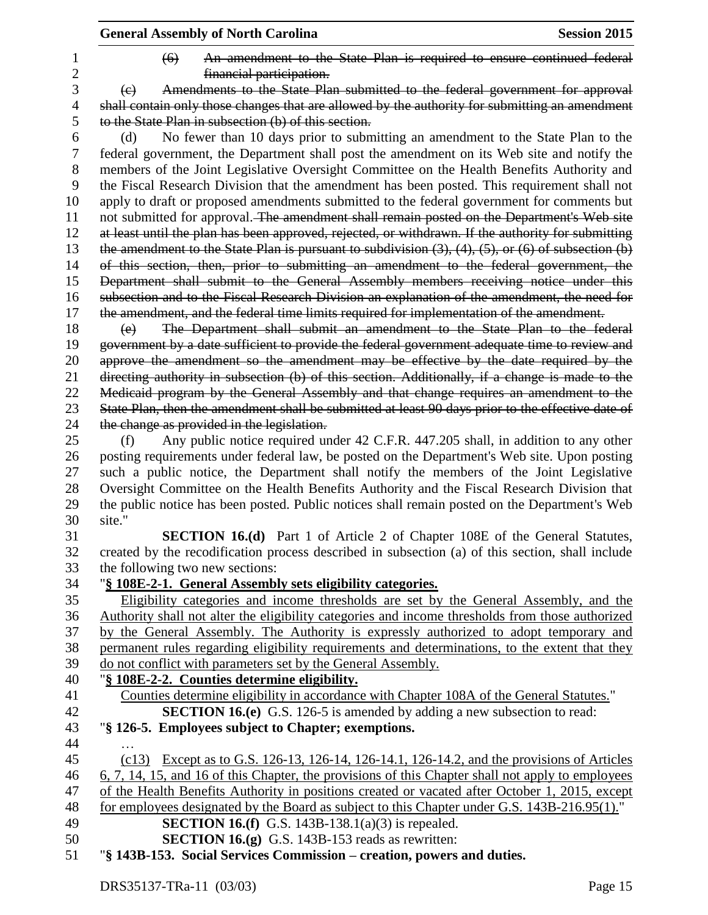|                     | <b>General Assembly of North Carolina</b>                                                                                                                                                        | <b>Session 2015</b> |
|---------------------|--------------------------------------------------------------------------------------------------------------------------------------------------------------------------------------------------|---------------------|
| 1<br>$\overline{2}$ | An amendment to the State Plan is required to ensure continued federal<br>$\left( 6 \right)$<br>financial participation.                                                                         |                     |
| 3                   | Amendments to the State Plan submitted to the federal government for approval<br>(e)                                                                                                             |                     |
| 4                   | shall contain only those changes that are allowed by the authority for submitting an amendment                                                                                                   |                     |
| 5                   | to the State Plan in subsection (b) of this section.                                                                                                                                             |                     |
| 6                   | No fewer than 10 days prior to submitting an amendment to the State Plan to the<br>(d)                                                                                                           |                     |
| 7                   | federal government, the Department shall post the amendment on its Web site and notify the                                                                                                       |                     |
| 8<br>9              | members of the Joint Legislative Oversight Committee on the Health Benefits Authority and<br>the Fiscal Research Division that the amendment has been posted. This requirement shall not         |                     |
| 10                  | apply to draft or proposed amendments submitted to the federal government for comments but                                                                                                       |                     |
| 11<br>12            | not submitted for approval. The amendment shall remain posted on the Department's Web site<br>at least until the plan has been approved, rejected, or withdrawn. If the authority for submitting |                     |
| 13                  | the amendment to the State Plan is pursuant to subdivision $(3)$ , $(4)$ , $(5)$ , or $(6)$ of subsection $(b)$                                                                                  |                     |
| 14                  | of this section, then, prior to submitting an amendment to the federal government, the                                                                                                           |                     |
| 15                  | Department shall submit to the General Assembly members receiving notice under this                                                                                                              |                     |
| 16                  | subsection and to the Fiscal Research Division an explanation of the amendment, the need for                                                                                                     |                     |
| 17                  | the amendment, and the federal time limits required for implementation of the amendment.                                                                                                         |                     |
| 18                  | The Department shall submit an amendment to the State Plan to the federal<br>(e)                                                                                                                 |                     |
| 19                  | government by a date sufficient to provide the federal government adequate time to review and                                                                                                    |                     |
| 20                  | approve the amendment so the amendment may be effective by the date required by the                                                                                                              |                     |
| 21                  | directing authority in subsection (b) of this section. Additionally, if a change is made to the                                                                                                  |                     |
| 22                  | Medicaid program by the General Assembly and that change requires an amendment to the                                                                                                            |                     |
| 23                  | State Plan, then the amendment shall be submitted at least 90 days prior to the effective date of                                                                                                |                     |
| 24                  | the change as provided in the legislation.                                                                                                                                                       |                     |
| 25                  | Any public notice required under 42 C.F.R. 447.205 shall, in addition to any other<br>(f)                                                                                                        |                     |
| 26                  | posting requirements under federal law, be posted on the Department's Web site. Upon posting                                                                                                     |                     |
| 27                  | such a public notice, the Department shall notify the members of the Joint Legislative                                                                                                           |                     |
| 28                  | Oversight Committee on the Health Benefits Authority and the Fiscal Research Division that                                                                                                       |                     |
| 29<br>30            | the public notice has been posted. Public notices shall remain posted on the Department's Web<br>site."                                                                                          |                     |
| 31                  | <b>SECTION 16.(d)</b> Part 1 of Article 2 of Chapter 108E of the General Statutes,                                                                                                               |                     |
| 32                  | created by the recodification process described in subsection (a) of this section, shall include                                                                                                 |                     |
| 33                  | the following two new sections:                                                                                                                                                                  |                     |
| 34                  | "§ 108E-2-1. General Assembly sets eligibility categories.                                                                                                                                       |                     |
| 35                  | Eligibility categories and income thresholds are set by the General Assembly, and the                                                                                                            |                     |
| 36                  | Authority shall not alter the eligibility categories and income thresholds from those authorized                                                                                                 |                     |
| 37                  | by the General Assembly. The Authority is expressly authorized to adopt temporary and                                                                                                            |                     |
| 38                  | permanent rules regarding eligibility requirements and determinations, to the extent that they                                                                                                   |                     |
| 39                  | do not conflict with parameters set by the General Assembly.                                                                                                                                     |                     |
| 40                  | "§ 108E-2-2. Counties determine eligibility.                                                                                                                                                     |                     |
| 41                  | Counties determine eligibility in accordance with Chapter 108A of the General Statutes."                                                                                                         |                     |
| 42                  | <b>SECTION 16.(e)</b> G.S. 126-5 is amended by adding a new subsection to read:                                                                                                                  |                     |
| 43                  | "§ 126-5. Employees subject to Chapter; exemptions.                                                                                                                                              |                     |
| 44                  |                                                                                                                                                                                                  |                     |
| 45                  | (c13) Except as to G.S. 126-13, 126-14, 126-14.1, 126-14.2, and the provisions of Articles                                                                                                       |                     |
| 46                  | 6, 7, 14, 15, and 16 of this Chapter, the provisions of this Chapter shall not apply to employees                                                                                                |                     |
| 47                  | of the Health Benefits Authority in positions created or vacated after October 1, 2015, except                                                                                                   |                     |
| 48                  | for employees designated by the Board as subject to this Chapter under G.S. 143B-216.95(1)."                                                                                                     |                     |
| 49                  | <b>SECTION 16.(f)</b> G.S. 143B-138.1(a)(3) is repealed.                                                                                                                                         |                     |
| 50                  | <b>SECTION 16.(g)</b> G.S. 143B-153 reads as rewritten:                                                                                                                                          |                     |
| 51                  | "§ 143B-153. Social Services Commission – creation, powers and duties.                                                                                                                           |                     |